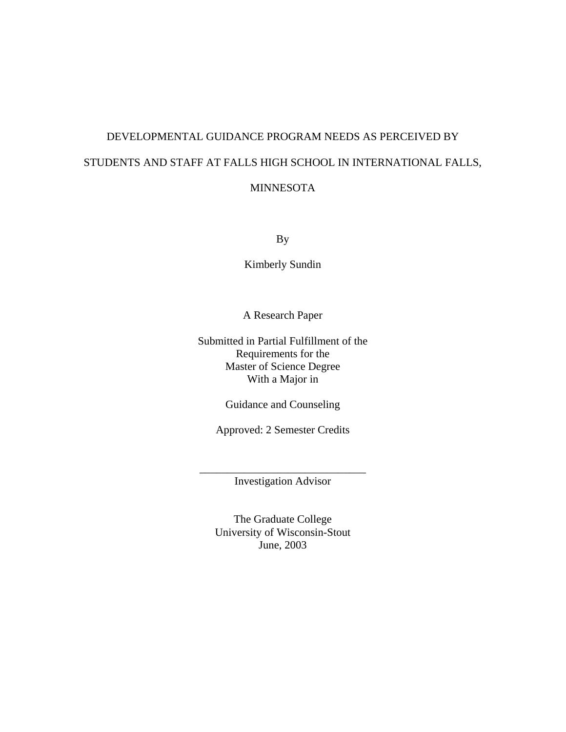# DEVELOPMENTAL GUIDANCE PROGRAM NEEDS AS PERCEIVED BY STUDENTS AND STAFF AT FALLS HIGH SCHOOL IN INTERNATIONAL FALLS, MINNESOTA

By

Kimberly Sundin

A Research Paper

Submitted in Partial Fulfillment of the Requirements for the Master of Science Degree With a Major in

Guidance and Counseling

Approved: 2 Semester Credits

\_\_\_\_\_\_\_\_\_\_\_\_\_\_\_\_\_\_\_\_\_\_\_\_\_\_\_\_\_\_ Investigation Advisor

The Graduate College University of Wisconsin-Stout June, 2003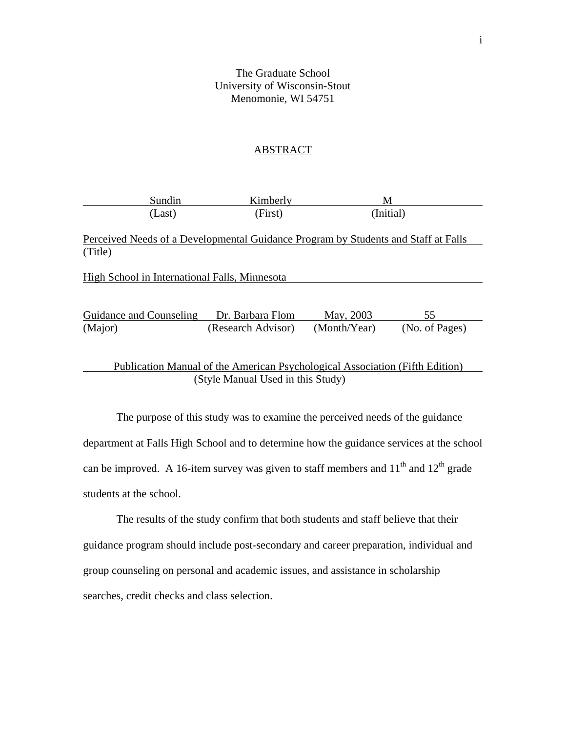The Graduate School University of Wisconsin-Stout Menomonie, WI 54751

### ABSTRACT

| Sundin | Kimberly | ΙVΙ       |  |
|--------|----------|-----------|--|
| Last)  | (First)  | (Initial) |  |

Perceived Needs of a Developmental Guidance Program by Students and Staff at Falls (Title)

| High School in International Falls, Minnesota |                    |              |                |
|-----------------------------------------------|--------------------|--------------|----------------|
|                                               |                    |              |                |
| Guidance and Counseling                       | Dr. Barbara Flom   | May, 2003    | 55             |
| (Major)                                       | (Research Advisor) | (Month/Year) | (No. of Pages) |
|                                               |                    |              |                |

 Publication Manual of the American Psychological Association (Fifth Edition) (Style Manual Used in this Study)

The purpose of this study was to examine the perceived needs of the guidance department at Falls High School and to determine how the guidance services at the school can be improved. A 16-item survey was given to staff members and  $11<sup>th</sup>$  and  $12<sup>th</sup>$  grade students at the school.

 The results of the study confirm that both students and staff believe that their guidance program should include post-secondary and career preparation, individual and group counseling on personal and academic issues, and assistance in scholarship searches, credit checks and class selection.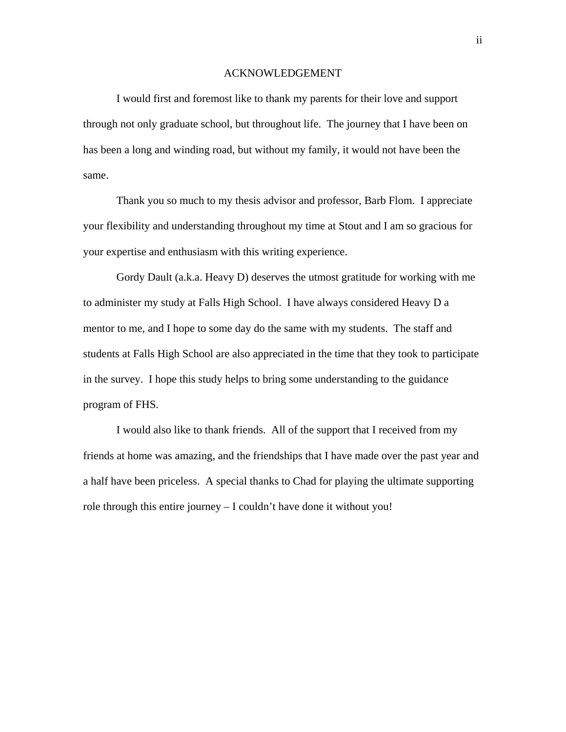### ACKNOWLEDGEMENT

I would first and foremost like to thank my parents for their love and support through not only graduate school, but throughout life. The journey that I have been on has been a long and winding road, but without my family, it would not have been the same.

 Thank you so much to my thesis advisor and professor, Barb Flom. I appreciate your flexibility and understanding throughout my time at Stout and I am so gracious for your expertise and enthusiasm with this writing experience.

 Gordy Dault (a.k.a. Heavy D) deserves the utmost gratitude for working with me to administer my study at Falls High School. I have always considered Heavy D a mentor to me, and I hope to some day do the same with my students. The staff and students at Falls High School are also appreciated in the time that they took to participate in the survey. I hope this study helps to bring some understanding to the guidance program of FHS.

 I would also like to thank friends. All of the support that I received from my friends at home was amazing, and the friendships that I have made over the past year and a half have been priceless. A special thanks to Chad for playing the ultimate supporting role through this entire journey – I couldn't have done it without you!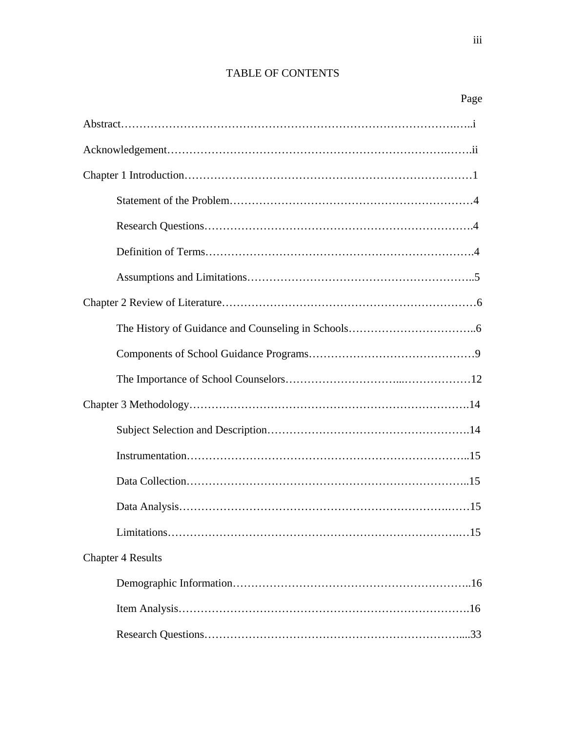# TABLE OF CONTENTS

| Page                     |
|--------------------------|
|                          |
|                          |
|                          |
|                          |
|                          |
|                          |
|                          |
|                          |
|                          |
|                          |
|                          |
|                          |
|                          |
|                          |
|                          |
|                          |
|                          |
| <b>Chapter 4 Results</b> |
|                          |
|                          |
|                          |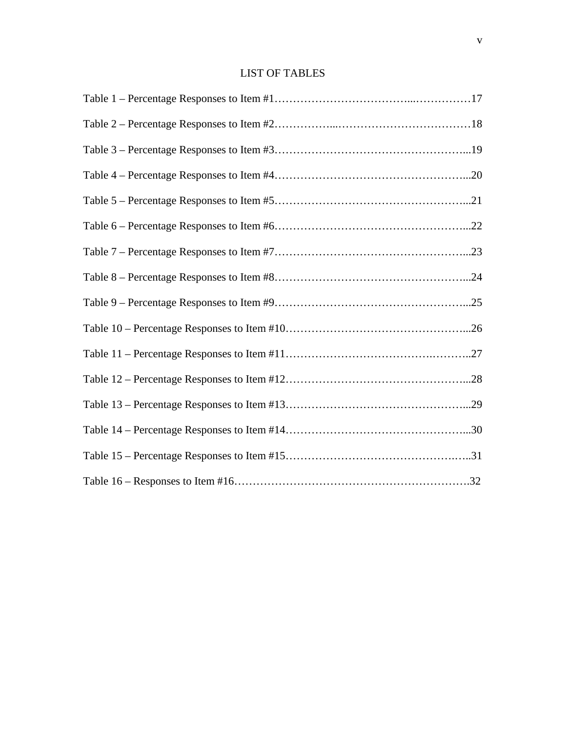# LIST OF TABLES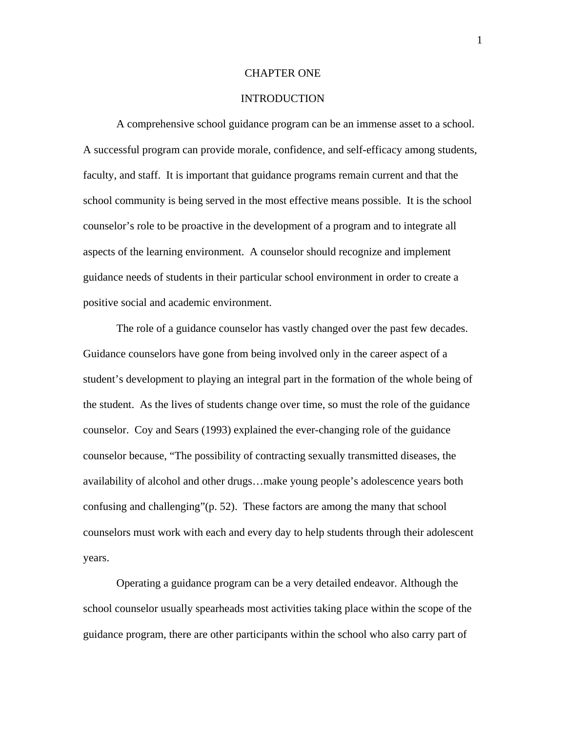### CHAPTER ONE

### INTRODUCTION

 A comprehensive school guidance program can be an immense asset to a school. A successful program can provide morale, confidence, and self-efficacy among students, faculty, and staff. It is important that guidance programs remain current and that the school community is being served in the most effective means possible. It is the school counselor's role to be proactive in the development of a program and to integrate all aspects of the learning environment. A counselor should recognize and implement guidance needs of students in their particular school environment in order to create a positive social and academic environment.

 The role of a guidance counselor has vastly changed over the past few decades. Guidance counselors have gone from being involved only in the career aspect of a student's development to playing an integral part in the formation of the whole being of the student. As the lives of students change over time, so must the role of the guidance counselor. Coy and Sears (1993) explained the ever-changing role of the guidance counselor because, "The possibility of contracting sexually transmitted diseases, the availability of alcohol and other drugs…make young people's adolescence years both confusing and challenging"(p. 52). These factors are among the many that school counselors must work with each and every day to help students through their adolescent years.

 Operating a guidance program can be a very detailed endeavor. Although the school counselor usually spearheads most activities taking place within the scope of the guidance program, there are other participants within the school who also carry part of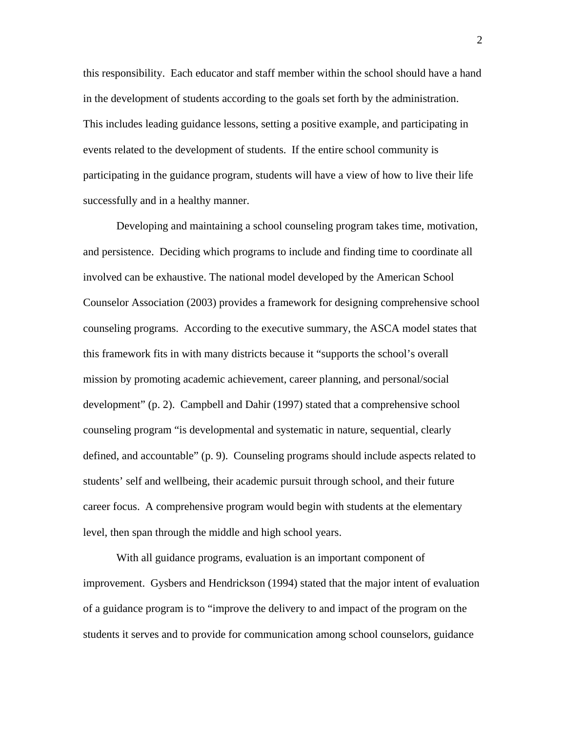this responsibility. Each educator and staff member within the school should have a hand in the development of students according to the goals set forth by the administration. This includes leading guidance lessons, setting a positive example, and participating in events related to the development of students. If the entire school community is participating in the guidance program, students will have a view of how to live their life successfully and in a healthy manner.

 Developing and maintaining a school counseling program takes time, motivation, and persistence. Deciding which programs to include and finding time to coordinate all involved can be exhaustive. The national model developed by the American School Counselor Association (2003) provides a framework for designing comprehensive school counseling programs. According to the executive summary, the ASCA model states that this framework fits in with many districts because it "supports the school's overall mission by promoting academic achievement, career planning, and personal/social development" (p. 2). Campbell and Dahir (1997) stated that a comprehensive school counseling program "is developmental and systematic in nature, sequential, clearly defined, and accountable" (p. 9). Counseling programs should include aspects related to students' self and wellbeing, their academic pursuit through school, and their future career focus. A comprehensive program would begin with students at the elementary level, then span through the middle and high school years.

With all guidance programs, evaluation is an important component of improvement. Gysbers and Hendrickson (1994) stated that the major intent of evaluation of a guidance program is to "improve the delivery to and impact of the program on the students it serves and to provide for communication among school counselors, guidance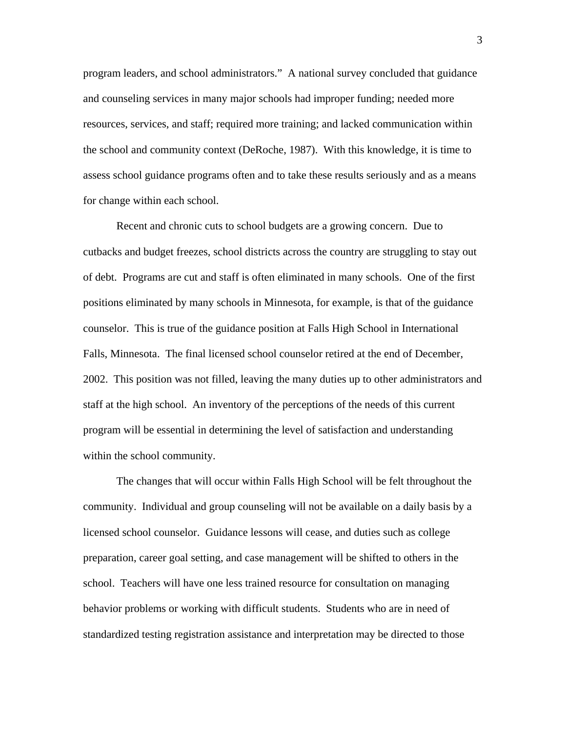program leaders, and school administrators." A national survey concluded that guidance and counseling services in many major schools had improper funding; needed more resources, services, and staff; required more training; and lacked communication within the school and community context (DeRoche, 1987). With this knowledge, it is time to assess school guidance programs often and to take these results seriously and as a means for change within each school.

Recent and chronic cuts to school budgets are a growing concern. Due to cutbacks and budget freezes, school districts across the country are struggling to stay out of debt. Programs are cut and staff is often eliminated in many schools. One of the first positions eliminated by many schools in Minnesota, for example, is that of the guidance counselor. This is true of the guidance position at Falls High School in International Falls, Minnesota. The final licensed school counselor retired at the end of December, 2002. This position was not filled, leaving the many duties up to other administrators and staff at the high school. An inventory of the perceptions of the needs of this current program will be essential in determining the level of satisfaction and understanding within the school community.

The changes that will occur within Falls High School will be felt throughout the community. Individual and group counseling will not be available on a daily basis by a licensed school counselor. Guidance lessons will cease, and duties such as college preparation, career goal setting, and case management will be shifted to others in the school. Teachers will have one less trained resource for consultation on managing behavior problems or working with difficult students. Students who are in need of standardized testing registration assistance and interpretation may be directed to those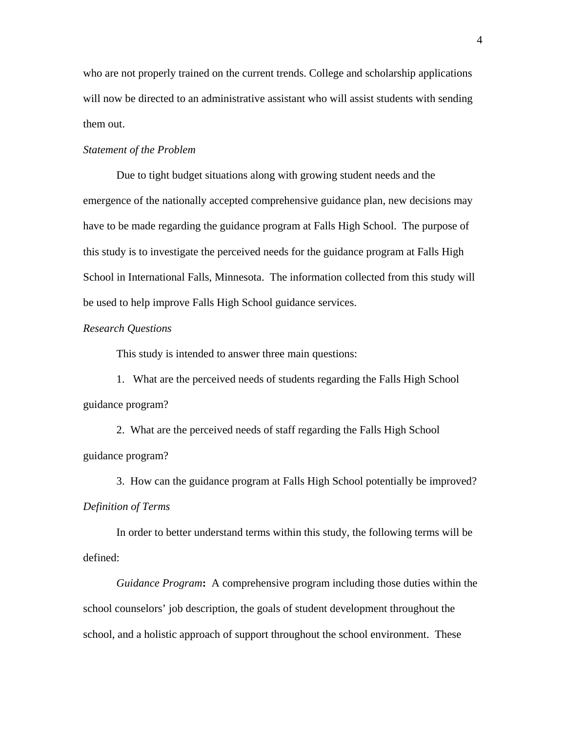who are not properly trained on the current trends. College and scholarship applications will now be directed to an administrative assistant who will assist students with sending them out.

### *Statement of the Problem*

Due to tight budget situations along with growing student needs and the emergence of the nationally accepted comprehensive guidance plan, new decisions may have to be made regarding the guidance program at Falls High School. The purpose of this study is to investigate the perceived needs for the guidance program at Falls High School in International Falls, Minnesota. The information collected from this study will be used to help improve Falls High School guidance services.

### *Research Questions*

This study is intended to answer three main questions:

1. What are the perceived needs of students regarding the Falls High School guidance program?

 2. What are the perceived needs of staff regarding the Falls High School guidance program?

3. How can the guidance program at Falls High School potentially be improved? *Definition of Terms* 

In order to better understand terms within this study, the following terms will be defined:

*Guidance Program***:** A comprehensive program including those duties within the school counselors' job description, the goals of student development throughout the school, and a holistic approach of support throughout the school environment. These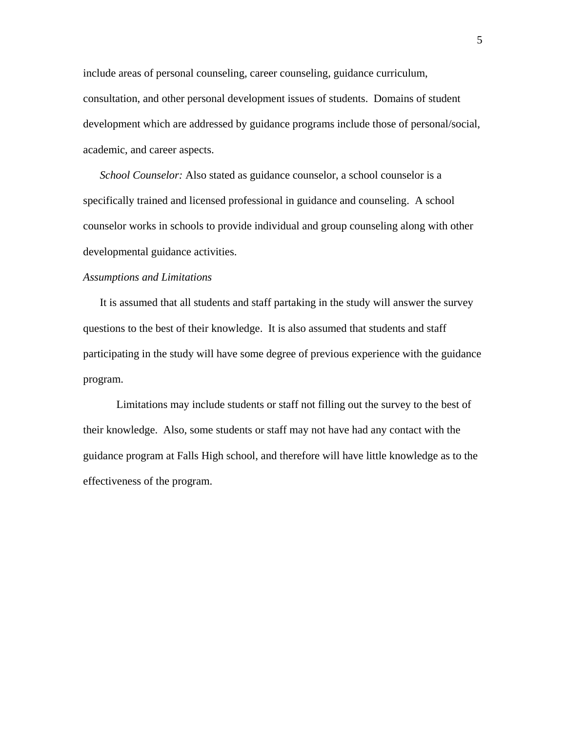include areas of personal counseling, career counseling, guidance curriculum, consultation, and other personal development issues of students. Domains of student development which are addressed by guidance programs include those of personal/social, academic, and career aspects.

*School Counselor:* Also stated as guidance counselor, a school counselor is a specifically trained and licensed professional in guidance and counseling. A school counselor works in schools to provide individual and group counseling along with other developmental guidance activities.

### *Assumptions and Limitations*

It is assumed that all students and staff partaking in the study will answer the survey questions to the best of their knowledge. It is also assumed that students and staff participating in the study will have some degree of previous experience with the guidance program.

Limitations may include students or staff not filling out the survey to the best of their knowledge. Also, some students or staff may not have had any contact with the guidance program at Falls High school, and therefore will have little knowledge as to the effectiveness of the program.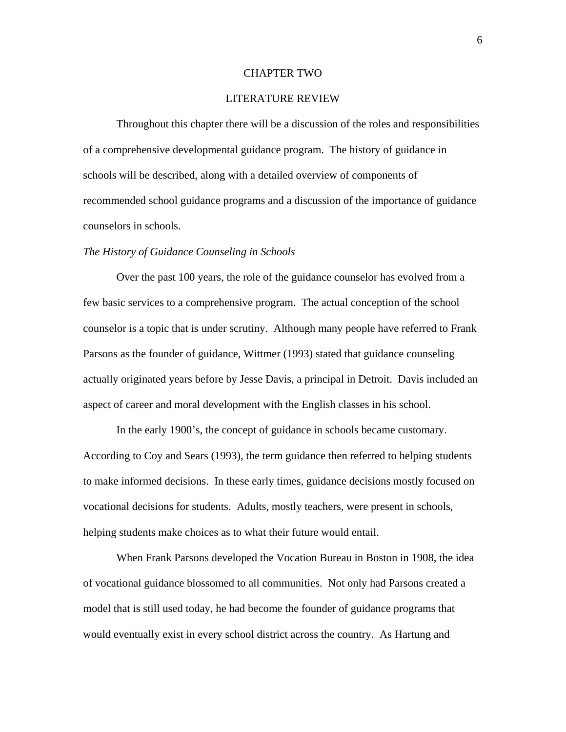### CHAPTER TWO

### LITERATURE REVIEW

Throughout this chapter there will be a discussion of the roles and responsibilities of a comprehensive developmental guidance program. The history of guidance in schools will be described, along with a detailed overview of components of recommended school guidance programs and a discussion of the importance of guidance counselors in schools.

#### *The History of Guidance Counseling in Schools*

 Over the past 100 years, the role of the guidance counselor has evolved from a few basic services to a comprehensive program. The actual conception of the school counselor is a topic that is under scrutiny. Although many people have referred to Frank Parsons as the founder of guidance, Wittmer (1993) stated that guidance counseling actually originated years before by Jesse Davis, a principal in Detroit. Davis included an aspect of career and moral development with the English classes in his school.

 In the early 1900's, the concept of guidance in schools became customary. According to Coy and Sears (1993), the term guidance then referred to helping students to make informed decisions. In these early times, guidance decisions mostly focused on vocational decisions for students. Adults, mostly teachers, were present in schools, helping students make choices as to what their future would entail.

 When Frank Parsons developed the Vocation Bureau in Boston in 1908, the idea of vocational guidance blossomed to all communities. Not only had Parsons created a model that is still used today, he had become the founder of guidance programs that would eventually exist in every school district across the country. As Hartung and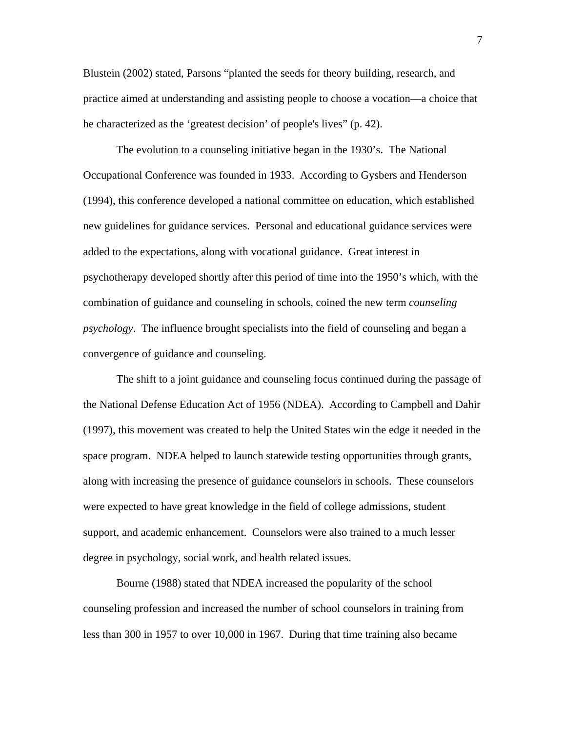Blustein (2002) stated, Parsons "planted the seeds for theory building, research, and practice aimed at understanding and assisting people to choose a vocation—a choice that he characterized as the 'greatest decision' of people's lives" (p. 42).

 The evolution to a counseling initiative began in the 1930's. The National Occupational Conference was founded in 1933. According to Gysbers and Henderson (1994), this conference developed a national committee on education, which established new guidelines for guidance services. Personal and educational guidance services were added to the expectations, along with vocational guidance. Great interest in psychotherapy developed shortly after this period of time into the 1950's which, with the combination of guidance and counseling in schools, coined the new term *counseling psychology*. The influence brought specialists into the field of counseling and began a convergence of guidance and counseling.

The shift to a joint guidance and counseling focus continued during the passage of the National Defense Education Act of 1956 (NDEA). According to Campbell and Dahir (1997), this movement was created to help the United States win the edge it needed in the space program. NDEA helped to launch statewide testing opportunities through grants, along with increasing the presence of guidance counselors in schools. These counselors were expected to have great knowledge in the field of college admissions, student support, and academic enhancement. Counselors were also trained to a much lesser degree in psychology, social work, and health related issues.

 Bourne (1988) stated that NDEA increased the popularity of the school counseling profession and increased the number of school counselors in training from less than 300 in 1957 to over 10,000 in 1967. During that time training also became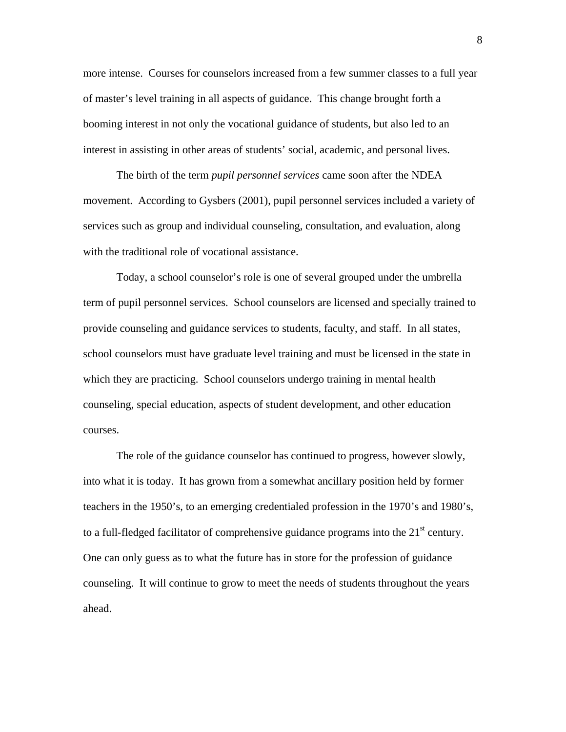more intense. Courses for counselors increased from a few summer classes to a full year of master's level training in all aspects of guidance. This change brought forth a booming interest in not only the vocational guidance of students, but also led to an interest in assisting in other areas of students' social, academic, and personal lives.

 The birth of the term *pupil personnel services* came soon after the NDEA movement. According to Gysbers (2001), pupil personnel services included a variety of services such as group and individual counseling, consultation, and evaluation, along with the traditional role of vocational assistance.

 Today, a school counselor's role is one of several grouped under the umbrella term of pupil personnel services. School counselors are licensed and specially trained to provide counseling and guidance services to students, faculty, and staff. In all states, school counselors must have graduate level training and must be licensed in the state in which they are practicing. School counselors undergo training in mental health counseling, special education, aspects of student development, and other education courses.

The role of the guidance counselor has continued to progress, however slowly, into what it is today. It has grown from a somewhat ancillary position held by former teachers in the 1950's, to an emerging credentialed profession in the 1970's and 1980's, to a full-fledged facilitator of comprehensive guidance programs into the  $21<sup>st</sup>$  century. One can only guess as to what the future has in store for the profession of guidance counseling. It will continue to grow to meet the needs of students throughout the years ahead.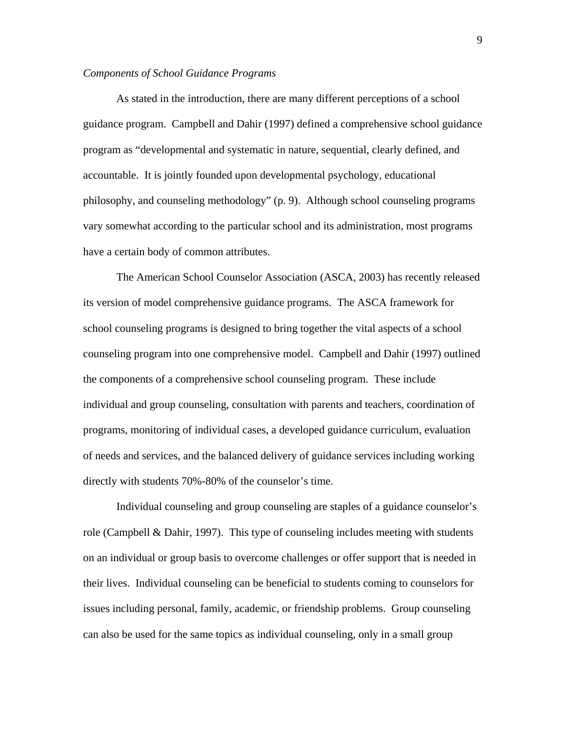### *Components of School Guidance Programs*

 As stated in the introduction, there are many different perceptions of a school guidance program. Campbell and Dahir (1997) defined a comprehensive school guidance program as "developmental and systematic in nature, sequential, clearly defined, and accountable. It is jointly founded upon developmental psychology, educational philosophy, and counseling methodology" (p. 9). Although school counseling programs vary somewhat according to the particular school and its administration, most programs have a certain body of common attributes.

The American School Counselor Association (ASCA, 2003) has recently released its version of model comprehensive guidance programs. The ASCA framework for school counseling programs is designed to bring together the vital aspects of a school counseling program into one comprehensive model. Campbell and Dahir (1997) outlined the components of a comprehensive school counseling program. These include individual and group counseling, consultation with parents and teachers, coordination of programs, monitoring of individual cases, a developed guidance curriculum, evaluation of needs and services, and the balanced delivery of guidance services including working directly with students 70%-80% of the counselor's time.

Individual counseling and group counseling are staples of a guidance counselor's role (Campbell & Dahir, 1997). This type of counseling includes meeting with students on an individual or group basis to overcome challenges or offer support that is needed in their lives. Individual counseling can be beneficial to students coming to counselors for issues including personal, family, academic, or friendship problems. Group counseling can also be used for the same topics as individual counseling, only in a small group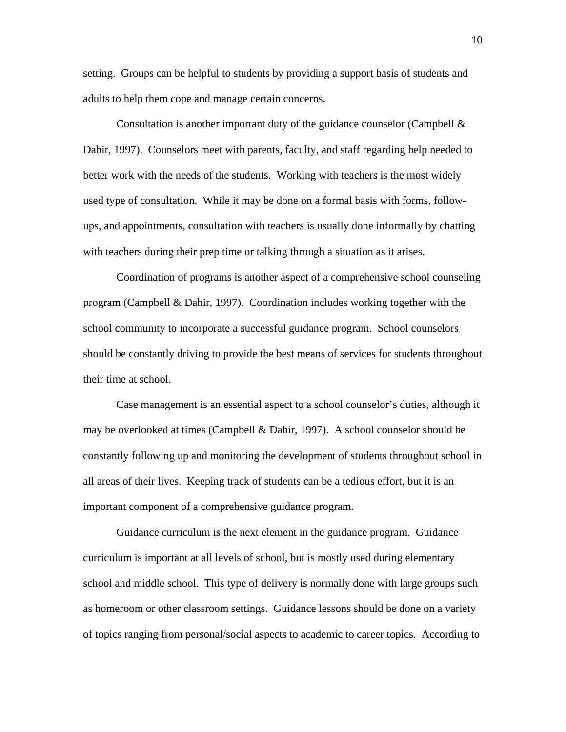setting. Groups can be helpful to students by providing a support basis of students and adults to help them cope and manage certain concerns.

Consultation is another important duty of the guidance counselor (Campbell & Dahir, 1997). Counselors meet with parents, faculty, and staff regarding help needed to better work with the needs of the students. Working with teachers is the most widely used type of consultation. While it may be done on a formal basis with forms, followups, and appointments, consultation with teachers is usually done informally by chatting with teachers during their prep time or talking through a situation as it arises.

Coordination of programs is another aspect of a comprehensive school counseling program (Campbell & Dahir, 1997). Coordination includes working together with the school community to incorporate a successful guidance program. School counselors should be constantly driving to provide the best means of services for students throughout their time at school.

 Case management is an essential aspect to a school counselor's duties, although it may be overlooked at times (Campbell & Dahir, 1997). A school counselor should be constantly following up and monitoring the development of students throughout school in all areas of their lives. Keeping track of students can be a tedious effort, but it is an important component of a comprehensive guidance program.

Guidance curriculum is the next element in the guidance program. Guidance curriculum is important at all levels of school, but is mostly used during elementary school and middle school. This type of delivery is normally done with large groups such as homeroom or other classroom settings. Guidance lessons should be done on a variety of topics ranging from personal/social aspects to academic to career topics. According to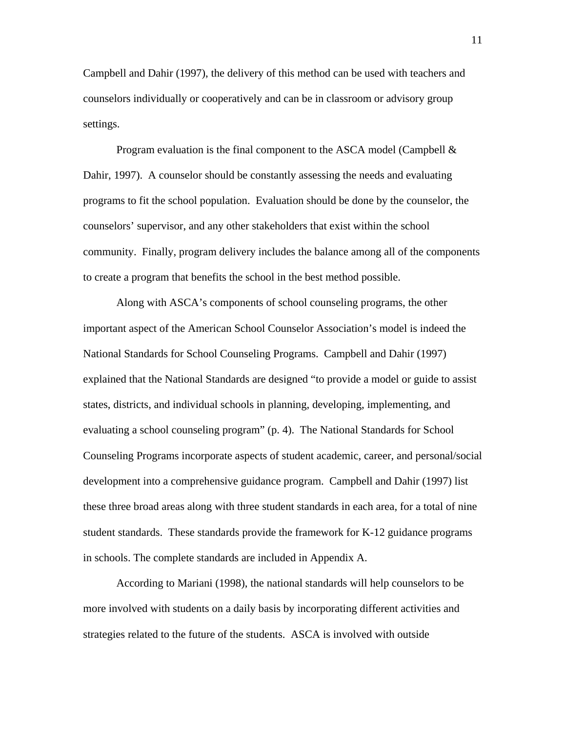Campbell and Dahir (1997), the delivery of this method can be used with teachers and counselors individually or cooperatively and can be in classroom or advisory group settings.

Program evaluation is the final component to the ASCA model (Campbell & Dahir, 1997). A counselor should be constantly assessing the needs and evaluating programs to fit the school population. Evaluation should be done by the counselor, the counselors' supervisor, and any other stakeholders that exist within the school community. Finally, program delivery includes the balance among all of the components to create a program that benefits the school in the best method possible.

 Along with ASCA's components of school counseling programs, the other important aspect of the American School Counselor Association's model is indeed the National Standards for School Counseling Programs. Campbell and Dahir (1997) explained that the National Standards are designed "to provide a model or guide to assist states, districts, and individual schools in planning, developing, implementing, and evaluating a school counseling program" (p. 4). The National Standards for School Counseling Programs incorporate aspects of student academic, career, and personal/social development into a comprehensive guidance program. Campbell and Dahir (1997) list these three broad areas along with three student standards in each area, for a total of nine student standards. These standards provide the framework for K-12 guidance programs in schools. The complete standards are included in Appendix A.

According to Mariani (1998), the national standards will help counselors to be more involved with students on a daily basis by incorporating different activities and strategies related to the future of the students. ASCA is involved with outside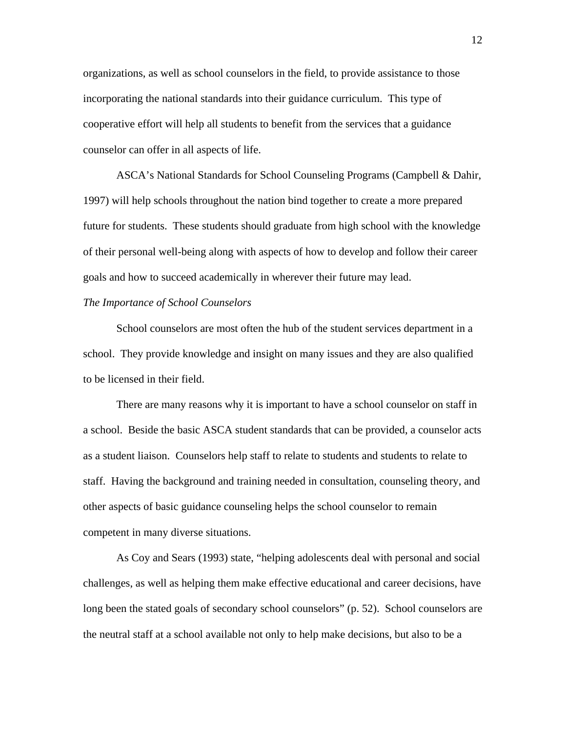organizations, as well as school counselors in the field, to provide assistance to those incorporating the national standards into their guidance curriculum. This type of cooperative effort will help all students to benefit from the services that a guidance counselor can offer in all aspects of life.

 ASCA's National Standards for School Counseling Programs (Campbell & Dahir, 1997) will help schools throughout the nation bind together to create a more prepared future for students. These students should graduate from high school with the knowledge of their personal well-being along with aspects of how to develop and follow their career goals and how to succeed academically in wherever their future may lead.

### *The Importance of School Counselors*

 School counselors are most often the hub of the student services department in a school. They provide knowledge and insight on many issues and they are also qualified to be licensed in their field.

 There are many reasons why it is important to have a school counselor on staff in a school. Beside the basic ASCA student standards that can be provided, a counselor acts as a student liaison. Counselors help staff to relate to students and students to relate to staff. Having the background and training needed in consultation, counseling theory, and other aspects of basic guidance counseling helps the school counselor to remain competent in many diverse situations.

 As Coy and Sears (1993) state, "helping adolescents deal with personal and social challenges, as well as helping them make effective educational and career decisions, have long been the stated goals of secondary school counselors" (p. 52). School counselors are the neutral staff at a school available not only to help make decisions, but also to be a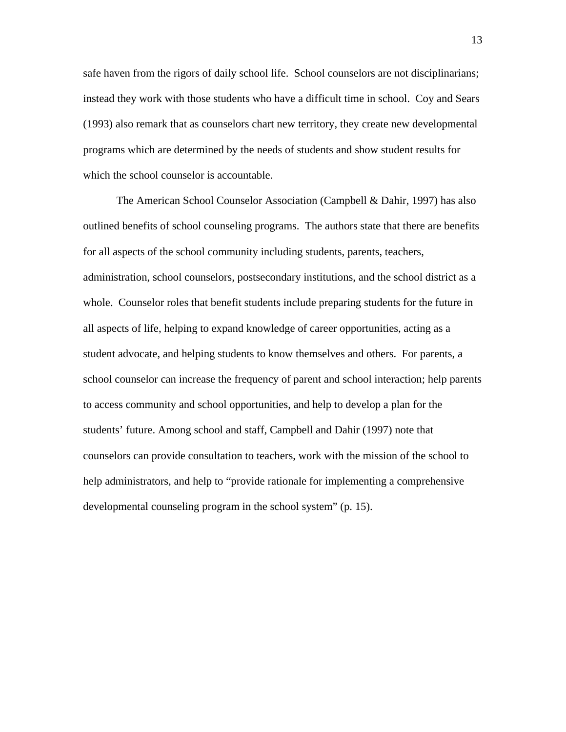safe haven from the rigors of daily school life. School counselors are not disciplinarians; instead they work with those students who have a difficult time in school. Coy and Sears (1993) also remark that as counselors chart new territory, they create new developmental programs which are determined by the needs of students and show student results for which the school counselor is accountable.

 The American School Counselor Association (Campbell & Dahir, 1997) has also outlined benefits of school counseling programs. The authors state that there are benefits for all aspects of the school community including students, parents, teachers, administration, school counselors, postsecondary institutions, and the school district as a whole. Counselor roles that benefit students include preparing students for the future in all aspects of life, helping to expand knowledge of career opportunities, acting as a student advocate, and helping students to know themselves and others. For parents, a school counselor can increase the frequency of parent and school interaction; help parents to access community and school opportunities, and help to develop a plan for the students' future. Among school and staff, Campbell and Dahir (1997) note that counselors can provide consultation to teachers, work with the mission of the school to help administrators, and help to "provide rationale for implementing a comprehensive developmental counseling program in the school system" (p. 15).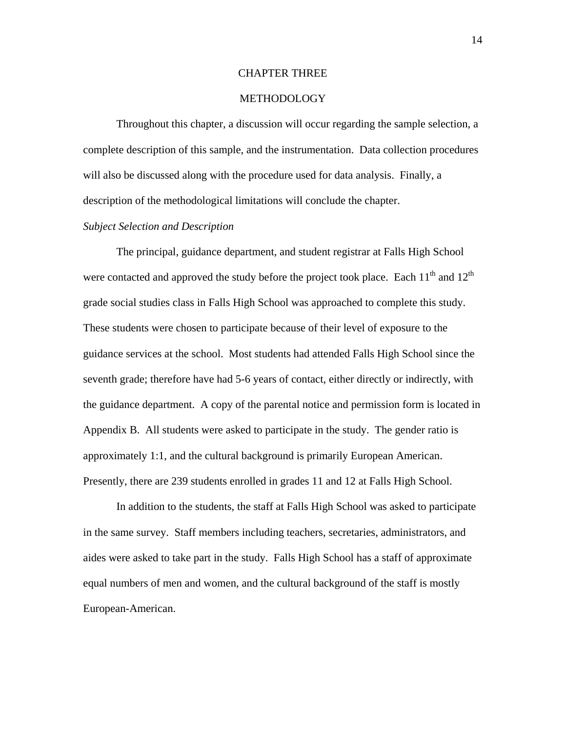### CHAPTER THREE

### **METHODOLOGY**

 Throughout this chapter, a discussion will occur regarding the sample selection, a complete description of this sample, and the instrumentation. Data collection procedures will also be discussed along with the procedure used for data analysis. Finally, a description of the methodological limitations will conclude the chapter.

### *Subject Selection and Description*

The principal, guidance department, and student registrar at Falls High School were contacted and approved the study before the project took place. Each  $11<sup>th</sup>$  and  $12<sup>th</sup>$ grade social studies class in Falls High School was approached to complete this study. These students were chosen to participate because of their level of exposure to the guidance services at the school. Most students had attended Falls High School since the seventh grade; therefore have had 5-6 years of contact, either directly or indirectly, with the guidance department. A copy of the parental notice and permission form is located in Appendix B. All students were asked to participate in the study. The gender ratio is approximately 1:1, and the cultural background is primarily European American. Presently, there are 239 students enrolled in grades 11 and 12 at Falls High School.

 In addition to the students, the staff at Falls High School was asked to participate in the same survey. Staff members including teachers, secretaries, administrators, and aides were asked to take part in the study. Falls High School has a staff of approximate equal numbers of men and women, and the cultural background of the staff is mostly European-American.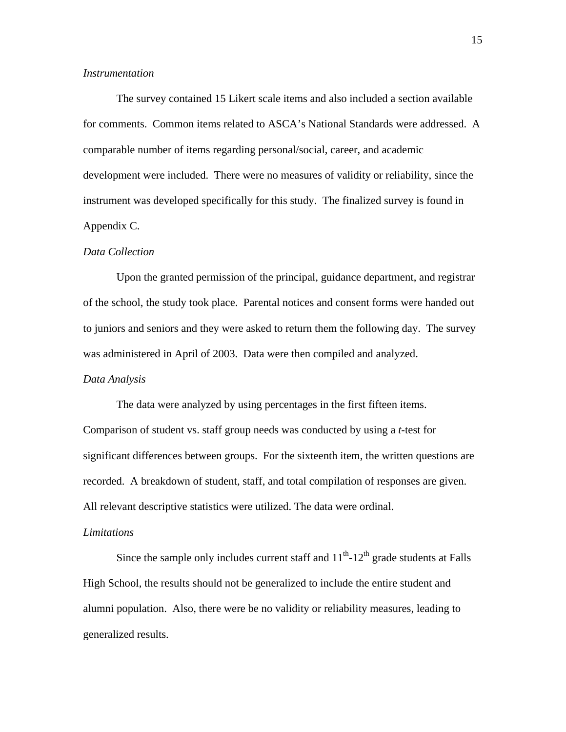### *Instrumentation*

 The survey contained 15 Likert scale items and also included a section available for comments. Common items related to ASCA's National Standards were addressed. A comparable number of items regarding personal/social, career, and academic development were included. There were no measures of validity or reliability, since the instrument was developed specifically for this study. The finalized survey is found in Appendix C.

### *Data Collection*

Upon the granted permission of the principal, guidance department, and registrar of the school, the study took place. Parental notices and consent forms were handed out to juniors and seniors and they were asked to return them the following day. The survey was administered in April of 2003. Data were then compiled and analyzed.

### *Data Analysis*

 The data were analyzed by using percentages in the first fifteen items. Comparison of student vs. staff group needs was conducted by using a *t*-test for significant differences between groups. For the sixteenth item, the written questions are recorded. A breakdown of student, staff, and total compilation of responses are given. All relevant descriptive statistics were utilized. The data were ordinal.

### *Limitations*

Since the sample only includes current staff and  $11<sup>th</sup>$ - $12<sup>th</sup>$  grade students at Falls High School, the results should not be generalized to include the entire student and alumni population. Also, there were be no validity or reliability measures, leading to generalized results.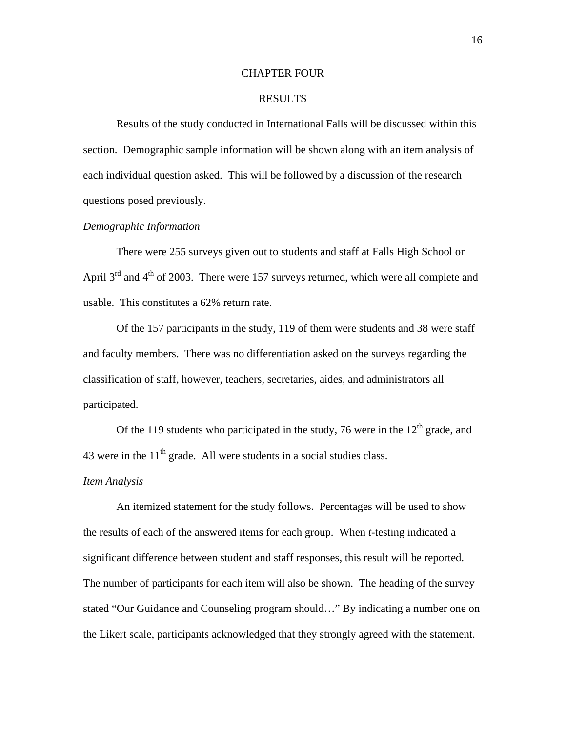### CHAPTER FOUR

### RESULTS

Results of the study conducted in International Falls will be discussed within this section. Demographic sample information will be shown along with an item analysis of each individual question asked. This will be followed by a discussion of the research questions posed previously.

### *Demographic Information*

There were 255 surveys given out to students and staff at Falls High School on April  $3<sup>rd</sup>$  and  $4<sup>th</sup>$  of 2003. There were 157 surveys returned, which were all complete and usable. This constitutes a 62% return rate.

 Of the 157 participants in the study, 119 of them were students and 38 were staff and faculty members. There was no differentiation asked on the surveys regarding the classification of staff, however, teachers, secretaries, aides, and administrators all participated.

Of the 119 students who participated in the study, 76 were in the  $12<sup>th</sup>$  grade, and 43 were in the  $11<sup>th</sup>$  grade. All were students in a social studies class.

### *Item Analysis*

An itemized statement for the study follows. Percentages will be used to show the results of each of the answered items for each group. When *t*-testing indicated a significant difference between student and staff responses, this result will be reported. The number of participants for each item will also be shown. The heading of the survey stated "Our Guidance and Counseling program should…" By indicating a number one on the Likert scale, participants acknowledged that they strongly agreed with the statement.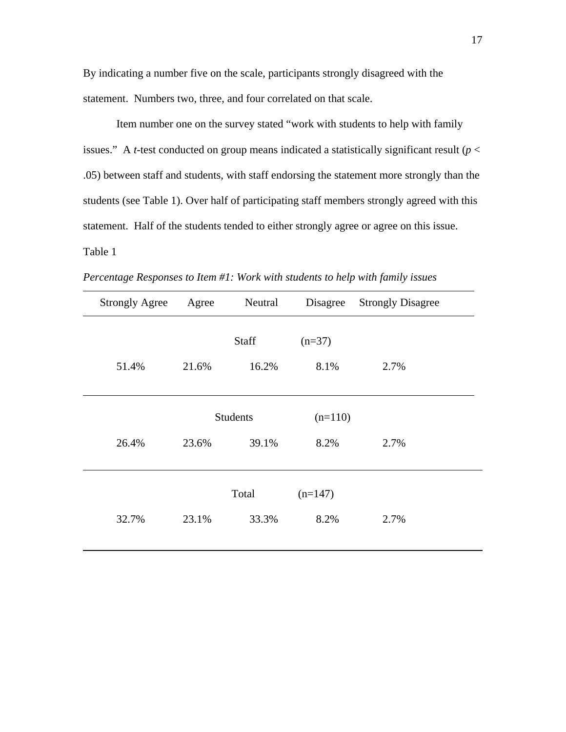By indicating a number five on the scale, participants strongly disagreed with the statement. Numbers two, three, and four correlated on that scale.

Item number one on the survey stated "work with students to help with family issues." A *t*-test conducted on group means indicated a statistically significant result ( $p <$ .05) between staff and students, with staff endorsing the statement more strongly than the students (see Table 1). Over half of participating staff members strongly agreed with this statement. Half of the students tended to either strongly agree or agree on this issue. Table 1

| <b>Strongly Agree</b> | Agree           | Neutral | Disagree  | <b>Strongly Disagree</b> |
|-----------------------|-----------------|---------|-----------|--------------------------|
|                       |                 | Staff   | $(n=37)$  |                          |
| 51.4%                 | 21.6%           | 16.2%   | 8.1%      | 2.7%                     |
|                       |                 |         |           |                          |
|                       | <b>Students</b> |         | $(n=110)$ |                          |
| 26.4%                 | 23.6%           | 39.1%   | 8.2%      | 2.7%                     |
|                       |                 |         |           |                          |
|                       |                 | Total   | $(n=147)$ |                          |
| 32.7%                 | 23.1%           | 33.3%   | 8.2%      | 2.7%                     |
|                       |                 |         |           |                          |

*Percentage Responses to Item #1: Work with students to help with family issues*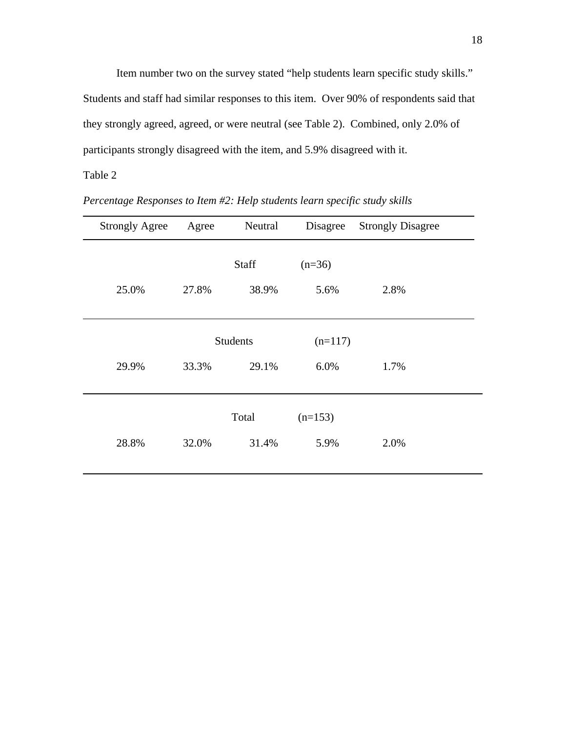Item number two on the survey stated "help students learn specific study skills." Students and staff had similar responses to this item. Over 90% of respondents said that they strongly agreed, agreed, or were neutral (see Table 2). Combined, only 2.0% of participants strongly disagreed with the item, and 5.9% disagreed with it.

| <b>Strongly Agree</b> | Agree           | Neutral | Disagree  | <b>Strongly Disagree</b> |
|-----------------------|-----------------|---------|-----------|--------------------------|
|                       |                 | Staff   | $(n=36)$  |                          |
| 25.0%                 | 27.8%           | 38.9%   | 5.6%      | 2.8%                     |
|                       |                 |         |           |                          |
|                       | <b>Students</b> |         | $(n=117)$ |                          |
| 29.9%                 | 33.3%           | 29.1%   | 6.0%      | 1.7%                     |
|                       |                 |         |           |                          |
|                       |                 | Total   | $(n=153)$ |                          |
| 28.8%                 | 32.0%           | 31.4%   | 5.9%      | 2.0%                     |
|                       |                 |         |           |                          |

*Percentage Responses to Item #2: Help students learn specific study skills*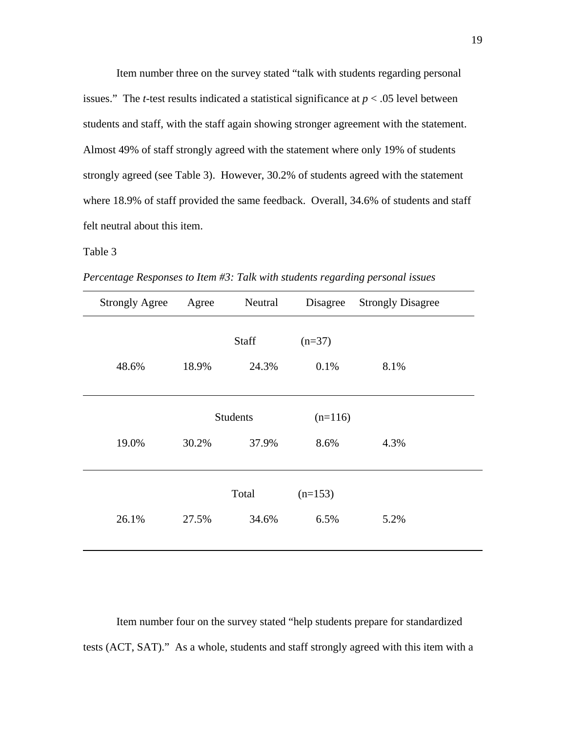Item number three on the survey stated "talk with students regarding personal issues." The *t*-test results indicated a statistical significance at  $p < .05$  level between students and staff, with the staff again showing stronger agreement with the statement. Almost 49% of staff strongly agreed with the statement where only 19% of students strongly agreed (see Table 3). However, 30.2% of students agreed with the statement where 18.9% of staff provided the same feedback. Overall, 34.6% of students and staff felt neutral about this item.

### Table 3

*Percentage Responses to Item #3: Talk with students regarding personal issues* 

| <b>Strongly Agree</b> | Agree           | Neutral | Disagree  | <b>Strongly Disagree</b> |
|-----------------------|-----------------|---------|-----------|--------------------------|
|                       |                 | Staff   | $(n=37)$  |                          |
| 48.6%                 | 18.9%           | 24.3%   | 0.1%      | 8.1%                     |
|                       |                 |         |           |                          |
|                       | <b>Students</b> |         | $(n=116)$ |                          |
| 19.0%                 | 30.2%           | 37.9%   | 8.6%      | 4.3%                     |
|                       |                 |         |           |                          |
|                       |                 | Total   | $(n=153)$ |                          |
| 26.1%                 | 27.5%           | 34.6%   | 6.5%      | 5.2%                     |
|                       |                 |         |           |                          |

Item number four on the survey stated "help students prepare for standardized tests (ACT, SAT)." As a whole, students and staff strongly agreed with this item with a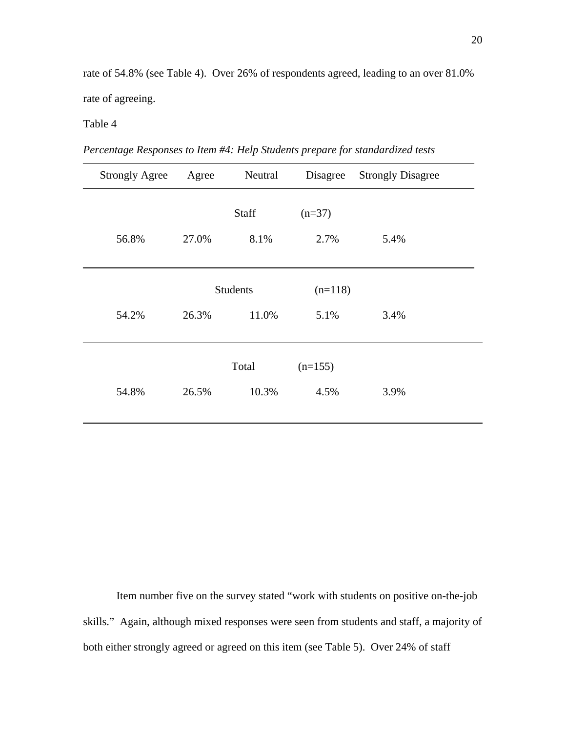rate of 54.8% (see Table 4). Over 26% of respondents agreed, leading to an over 81.0% rate of agreeing.

# Table 4

| Percentage Responses to Item #4: Help Students prepare for standardized tests |  |  |  |
|-------------------------------------------------------------------------------|--|--|--|
|                                                                               |  |  |  |

| <b>Strongly Agree</b> | Agree           | Neutral | Disagree  | <b>Strongly Disagree</b> |
|-----------------------|-----------------|---------|-----------|--------------------------|
|                       |                 | Staff   | $(n=37)$  |                          |
| 56.8%                 | 27.0%           | 8.1%    | 2.7%      | 5.4%                     |
|                       |                 |         |           |                          |
|                       | <b>Students</b> |         | $(n=118)$ |                          |
| 54.2%                 | 26.3%           | 11.0%   | 5.1%      | 3.4%                     |
|                       |                 |         |           |                          |
|                       |                 | Total   | $(n=155)$ |                          |
| 54.8%                 | 26.5%           | 10.3%   | 4.5%      | 3.9%                     |
|                       |                 |         |           |                          |

Item number five on the survey stated "work with students on positive on-the-job skills." Again, although mixed responses were seen from students and staff, a majority of both either strongly agreed or agreed on this item (see Table 5). Over 24% of staff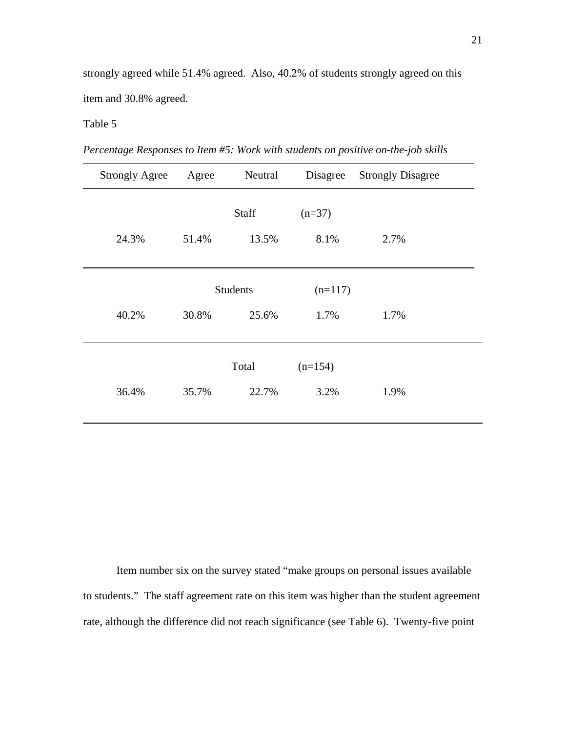strongly agreed while 51.4% agreed. Also, 40.2% of students strongly agreed on this item and 30.8% agreed.

# Table 5

| Percentage Responses to Item #5: Work with students on positive on-the-job skills |  |  |
|-----------------------------------------------------------------------------------|--|--|
|                                                                                   |  |  |

| <b>Strongly Agree</b> | Agree           | Neutral | Disagree  | <b>Strongly Disagree</b> |
|-----------------------|-----------------|---------|-----------|--------------------------|
|                       |                 | Staff   | $(n=37)$  |                          |
| 24.3%                 | 51.4%           | 13.5%   | 8.1%      | 2.7%                     |
|                       | <b>Students</b> |         | $(n=117)$ |                          |
| 40.2%                 | 30.8%           | 25.6%   | 1.7%      | 1.7%                     |
|                       |                 | Total   | $(n=154)$ |                          |
| 36.4%                 | 35.7%           | 22.7%   | 3.2%      | 1.9%                     |

Item number six on the survey stated "make groups on personal issues available to students." The staff agreement rate on this item was higher than the student agreement rate, although the difference did not reach significance (see Table 6). Twenty-five point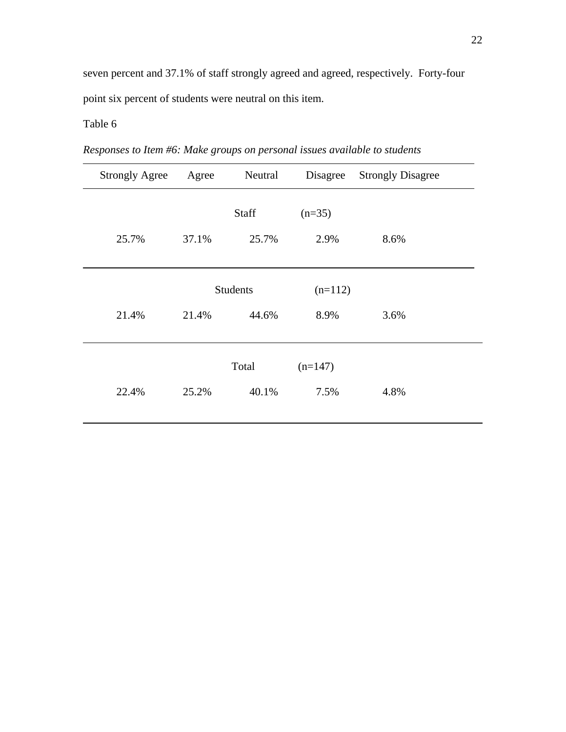seven percent and 37.1% of staff strongly agreed and agreed, respectively. Forty-four point six percent of students were neutral on this item.

 Strongly Agree Agree Neutral Disagree Strongly Disagree Staff  $(n=35)$ 25.7% 37.1% 25.7% 2.9% 8.6%  $\overline{a}$ Students (n=112) 21.4% 21.4% 44.6% 8.9% 3.6%  $Total \qquad (n=147)$ 22.4% 25.2% 40.1% 7.5% 4.8% 

*Responses to Item #6: Make groups on personal issues available to students*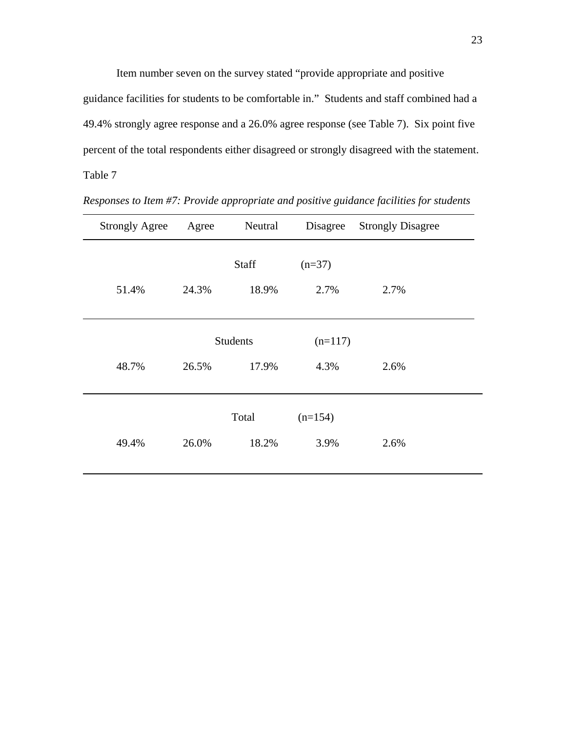Item number seven on the survey stated "provide appropriate and positive guidance facilities for students to be comfortable in." Students and staff combined had a 49.4% strongly agree response and a 26.0% agree response (see Table 7). Six point five percent of the total respondents either disagreed or strongly disagreed with the statement. Table 7

| <b>Strongly Agree</b> | Agree | Neutral         | Disagree  | <b>Strongly Disagree</b> |
|-----------------------|-------|-----------------|-----------|--------------------------|
|                       |       | Staff           | $(n=37)$  |                          |
| 51.4%                 | 24.3% | 18.9%           | 2.7%      | 2.7%                     |
|                       |       |                 |           |                          |
|                       |       | <b>Students</b> | $(n=117)$ |                          |
| 48.7%                 | 26.5% | 17.9%           | 4.3%      | 2.6%                     |
|                       |       |                 |           |                          |
|                       |       | Total           | $(n=154)$ |                          |
| 49.4%                 | 26.0% | 18.2%           | 3.9%      | 2.6%                     |
|                       |       |                 |           |                          |

*Responses to Item #7: Provide appropriate and positive guidance facilities for students*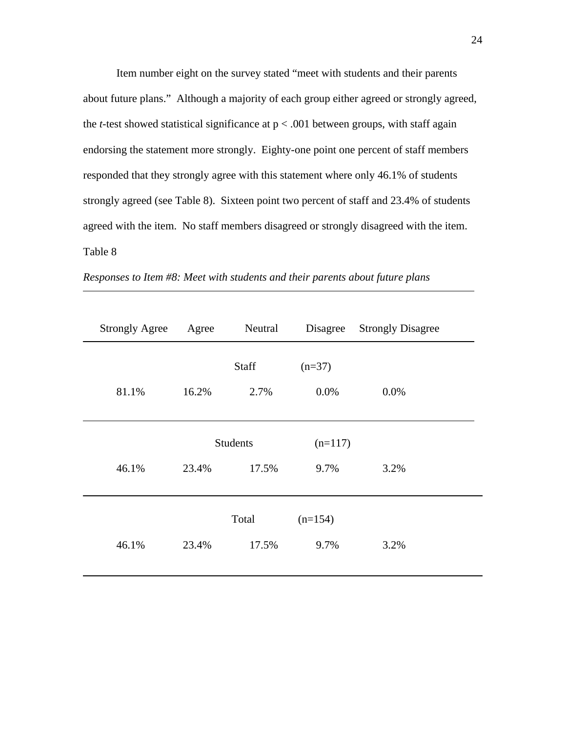Item number eight on the survey stated "meet with students and their parents about future plans." Although a majority of each group either agreed or strongly agreed, the *t*-test showed statistical significance at  $p < .001$  between groups, with staff again endorsing the statement more strongly. Eighty-one point one percent of staff members responded that they strongly agree with this statement where only 46.1% of students strongly agreed (see Table 8). Sixteen point two percent of staff and 23.4% of students agreed with the item. No staff members disagreed or strongly disagreed with the item. Table 8

| <b>Strongly Agree</b> | Agree | Neutral                  | Disagree          | <b>Strongly Disagree</b> |
|-----------------------|-------|--------------------------|-------------------|--------------------------|
| 81.1%                 | 16.2% | Staff<br>2.7%            | $(n=37)$<br>0.0%  | 0.0%                     |
| 46.1%                 | 23.4% | <b>Students</b><br>17.5% |                   | 3.2%                     |
| 46.1%                 | 23.4% | Total<br>17.5%           | $(n=154)$<br>9.7% | 3.2%                     |

| Responses to Item #8: Meet with students and their parents about future plans |  |  |  |  |  |
|-------------------------------------------------------------------------------|--|--|--|--|--|
|-------------------------------------------------------------------------------|--|--|--|--|--|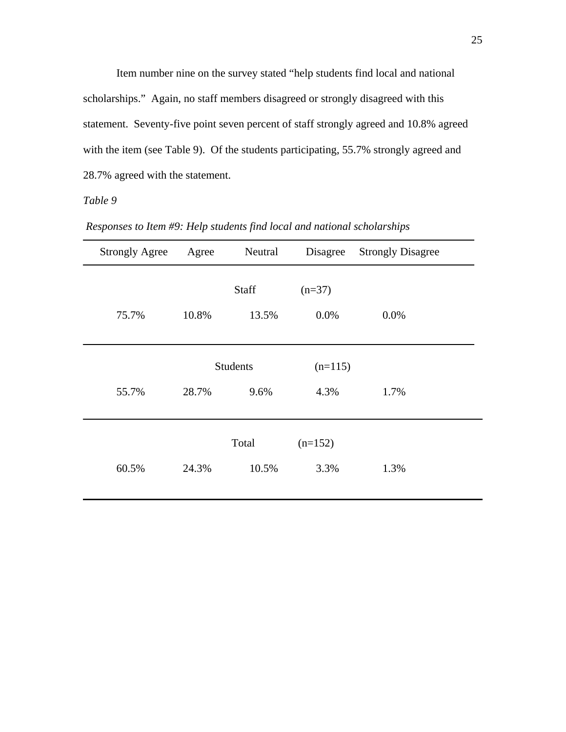Item number nine on the survey stated "help students find local and national scholarships." Again, no staff members disagreed or strongly disagreed with this statement. Seventy-five point seven percent of staff strongly agreed and 10.8% agreed with the item (see Table 9). Of the students participating, 55.7% strongly agreed and 28.7% agreed with the statement.

| <b>Strongly Agree</b> | Agree           | Neutral | Disagree  | <b>Strongly Disagree</b> |
|-----------------------|-----------------|---------|-----------|--------------------------|
|                       |                 | Staff   | $(n=37)$  |                          |
| 75.7%                 | 10.8%           | 13.5%   | 0.0%      | 0.0%                     |
|                       | <b>Students</b> |         | $(n=115)$ |                          |
| 55.7%                 | 28.7%           | 9.6%    | 4.3%      | 1.7%                     |
|                       |                 | Total   | $(n=152)$ |                          |
| 60.5%                 | 24.3%           | 10.5%   | 3.3%      | 1.3%                     |

 *Responses to Item #9: Help students find local and national scholarships*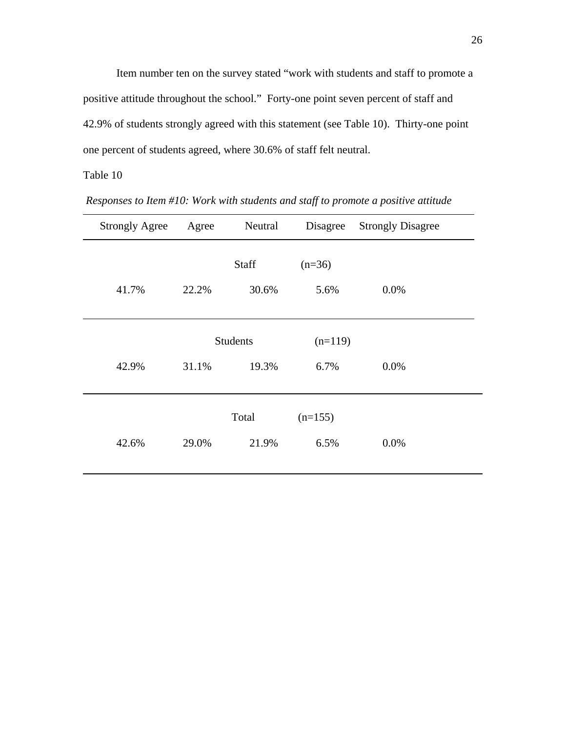Item number ten on the survey stated "work with students and staff to promote a positive attitude throughout the school." Forty-one point seven percent of staff and 42.9% of students strongly agreed with this statement (see Table 10). Thirty-one point one percent of students agreed, where 30.6% of staff felt neutral.

 Strongly Agree Agree Neutral Disagree Strongly Disagree Staff  $(n=36)$ 41.7% 22.2% 30.6% 5.6% 0.0%  $\overline{a}$ Students (n=119) 42.9% 31.1% 19.3% 6.7% 0.0%  $Total \qquad (n=155)$ 42.6% 29.0% 21.9% 6.5% 0.0% 

 *Responses to Item #10: Work with students and staff to promote a positive attitude*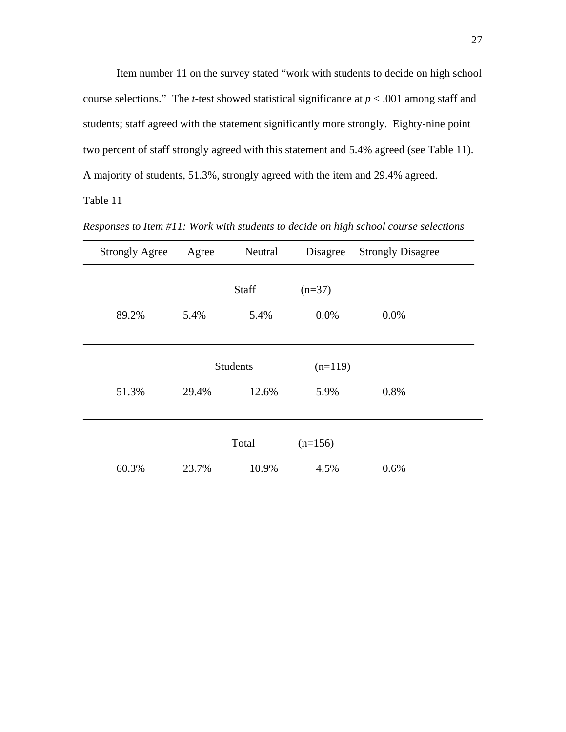Item number 11 on the survey stated "work with students to decide on high school course selections." The *t*-test showed statistical significance at  $p < .001$  among staff and students; staff agreed with the statement significantly more strongly. Eighty-nine point two percent of staff strongly agreed with this statement and 5.4% agreed (see Table 11). A majority of students, 51.3%, strongly agreed with the item and 29.4% agreed.

| <b>Strongly Agree</b> | Agree           | Neutral | Disagree  | <b>Strongly Disagree</b> |
|-----------------------|-----------------|---------|-----------|--------------------------|
|                       |                 | Staff   | $(n=37)$  |                          |
|                       |                 |         |           |                          |
| 89.2%                 | 5.4%            | 5.4%    | 0.0%      | 0.0%                     |
|                       |                 |         |           |                          |
|                       | <b>Students</b> |         | $(n=119)$ |                          |
|                       |                 |         |           |                          |
| 51.3%                 | 29.4%           | 12.6%   | 5.9%      | 0.8%                     |
|                       |                 |         |           |                          |
|                       |                 | Total   | $(n=156)$ |                          |
| 60.3%                 | 23.7%           | 10.9%   | 4.5%      | 0.6%                     |

*Responses to Item #11: Work with students to decide on high school course selections*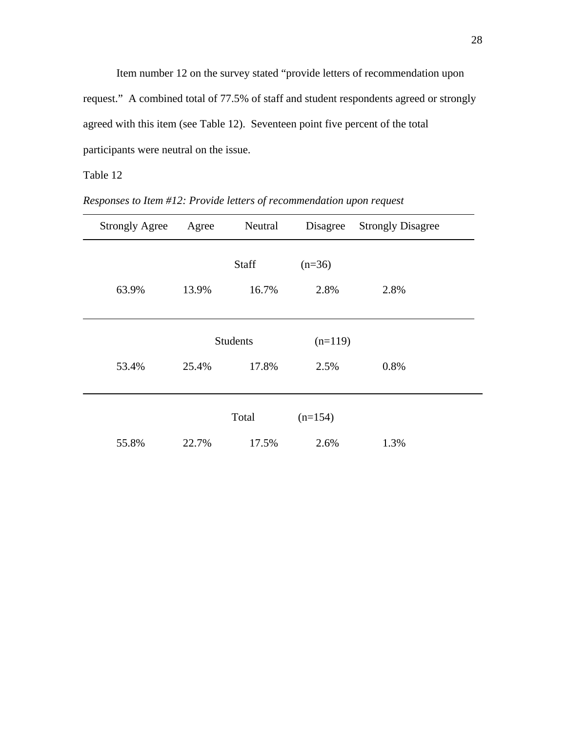Item number 12 on the survey stated "provide letters of recommendation upon request." A combined total of 77.5% of staff and student respondents agreed or strongly agreed with this item (see Table 12). Seventeen point five percent of the total participants were neutral on the issue.

 Strongly Agree Agree Neutral Disagree Strongly Disagree Staff  $(n=36)$ 63.9% 13.9% 16.7% 2.8% 2.8%  $\overline{\phantom{a}}$ Students (n=119) 53.4% 25.4% 17.8% 2.5% 0.8%  $Total \qquad (n=154)$ 55.8% 22.7% 17.5% 2.6% 1.3%

*Responses to Item #12: Provide letters of recommendation upon request*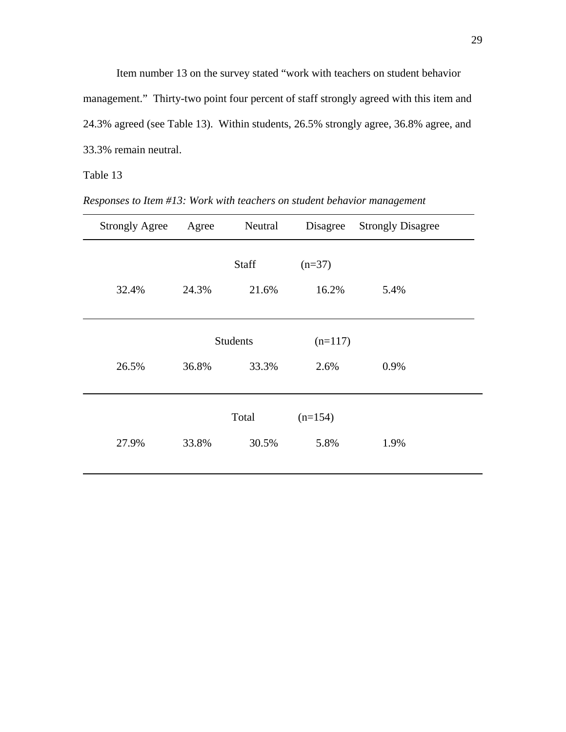Item number 13 on the survey stated "work with teachers on student behavior management." Thirty-two point four percent of staff strongly agreed with this item and 24.3% agreed (see Table 13). Within students, 26.5% strongly agree, 36.8% agree, and 33.3% remain neutral.

*Responses to Item #13: Work with teachers on student behavior management* 

| <b>Strongly Agree</b> | Agree | Neutral         | Disagree  | <b>Strongly Disagree</b> |
|-----------------------|-------|-----------------|-----------|--------------------------|
|                       |       | Staff           | $(n=37)$  |                          |
| 32.4%                 | 24.3% | 21.6%           | 16.2%     | 5.4%                     |
|                       |       |                 |           |                          |
|                       |       | <b>Students</b> | $(n=117)$ |                          |
| 26.5%                 | 36.8% | 33.3%           | 2.6%      | 0.9%                     |
|                       |       |                 |           |                          |
|                       |       | Total           | $(n=154)$ |                          |
| 27.9%                 | 33.8% | 30.5%           | 5.8%      | 1.9%                     |
|                       |       |                 |           |                          |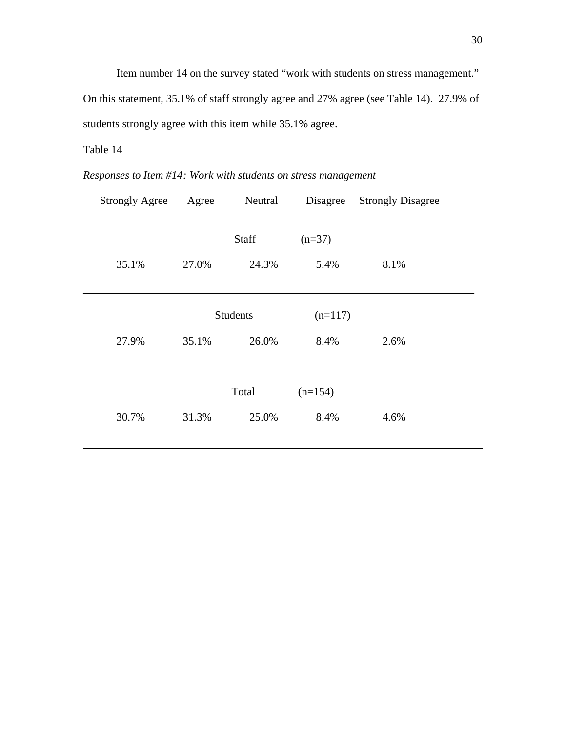Item number 14 on the survey stated "work with students on stress management." On this statement, 35.1% of staff strongly agree and 27% agree (see Table 14). 27.9% of students strongly agree with this item while 35.1% agree.

*Responses to Item #14 : Work with students on stress management* 

| <b>Strongly Agree</b> | Agree | Neutral         | Disagree  | <b>Strongly Disagree</b> |
|-----------------------|-------|-----------------|-----------|--------------------------|
|                       |       | Staff           | $(n=37)$  |                          |
| 35.1%                 | 27.0% | 24.3%           | 5.4%      | 8.1%                     |
|                       |       |                 |           |                          |
|                       |       | <b>Students</b> |           |                          |
| 27.9%                 | 35.1% | 26.0%           | 8.4%      | 2.6%                     |
|                       |       |                 |           |                          |
|                       | Total |                 | $(n=154)$ |                          |
| 30.7%                 | 31.3% | 25.0%           | 8.4%      | 4.6%                     |
|                       |       |                 |           |                          |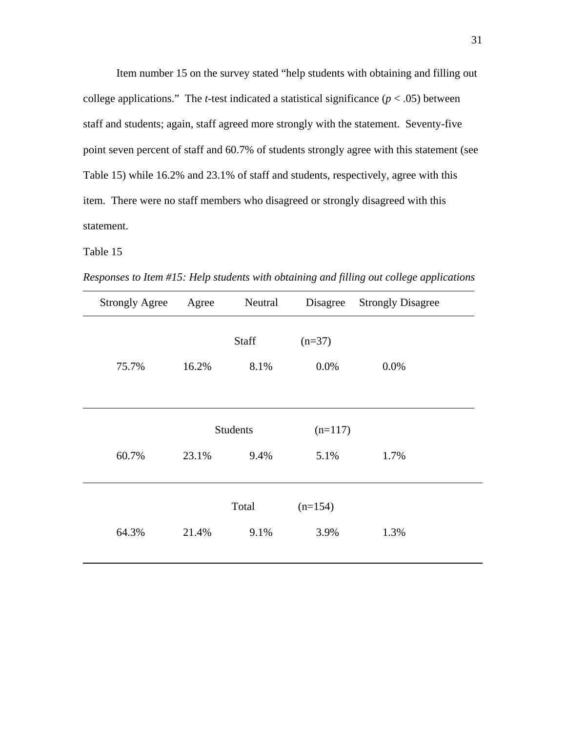Item number 15 on the survey stated "help students with obtaining and filling out college applications." The *t*-test indicated a statistical significance  $(p < .05)$  between staff and students; again, staff agreed more strongly with the statement. Seventy-five point seven percent of staff and 60.7% of students strongly agree with this statement (see Table 15) while 16.2% and 23.1% of staff and students, respectively, agree with this item. There were no staff members who disagreed or strongly disagreed with this statement.

*Responses to Item #15: Help students with obtaining and filling out college applications* 

| <b>Strongly Agree</b> | Agree                            | Neutral       | Disagree          | <b>Strongly Disagree</b> |
|-----------------------|----------------------------------|---------------|-------------------|--------------------------|
| 75.7%                 | 16.2%                            | Staff<br>8.1% | $(n=37)$<br>0.0%  | 0.0%                     |
| 60.7%                 | <b>Students</b><br>23.1%<br>9.4% |               | $(n=117)$<br>5.1% | 1.7%                     |
| 64.3%                 | 21.4%                            | Total<br>9.1% | $(n=154)$<br>3.9% | 1.3%                     |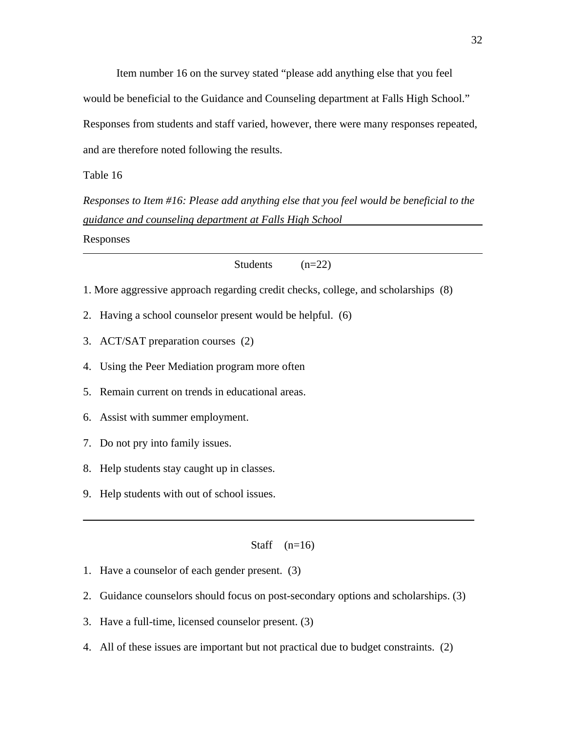Item number 16 on the survey stated "please add anything else that you feel would be beneficial to the Guidance and Counseling department at Falls High School." Responses from students and staff varied, however, there were many responses repeated, and are therefore noted following the results.

Table 16

*Responses to Item #16: Please add anything else that you feel would be beneficial to the guidance and counseling department at Falls High School* 

Responses

Students (n=22)

- 1. More aggressive approach regarding credit checks, college, and scholarships (8)
- 2. Having a school counselor present would be helpful. (6)
- 3. ACT/SAT preparation courses (2)
- 4. Using the Peer Mediation program more often
- 5. Remain current on trends in educational areas.
- 6. Assist with summer employment.
- 7. Do not pry into family issues.
- 8. Help students stay caught up in classes.
- 9. Help students with out of school issues.

Staff  $(n=16)$ 

- 1. Have a counselor of each gender present. (3)
- 2. Guidance counselors should focus on post-secondary options and scholarships. (3)
- 3. Have a full-time, licensed counselor present. (3)
- 4. All of these issues are important but not practical due to budget constraints. (2)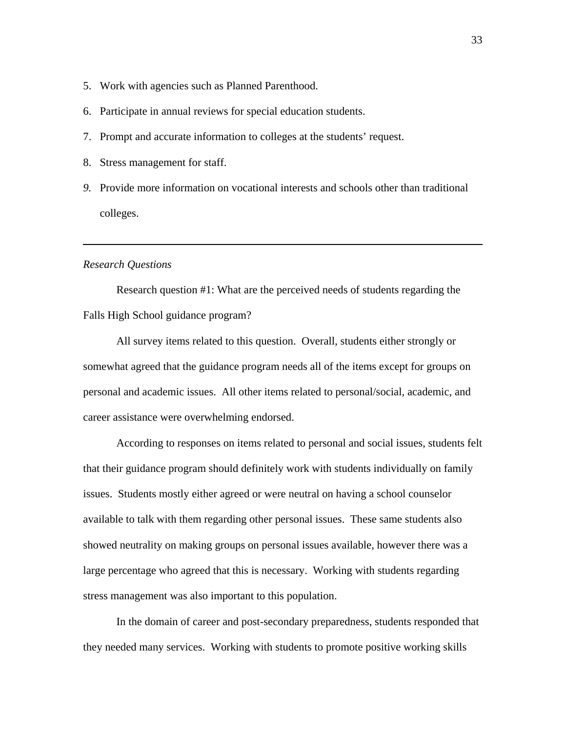- 5. Work with agencies such as Planned Parenthood.
- 6. Participate in annual reviews for special education students.
- 7. Prompt and accurate information to colleges at the students' request.
- 8. Stress management for staff.
- *9.* Provide more information on vocational interests and schools other than traditional colleges.

### *Research Questions*

 Research question #1: What are the perceived needs of students regarding the Falls High School guidance program?

 All survey items related to this question. Overall, students either strongly or somewhat agreed that the guidance program needs all of the items except for groups on personal and academic issues. All other items related to personal/social, academic, and career assistance were overwhelming endorsed.

 According to responses on items related to personal and social issues, students felt that their guidance program should definitely work with students individually on family issues. Students mostly either agreed or were neutral on having a school counselor available to talk with them regarding other personal issues. These same students also showed neutrality on making groups on personal issues available, however there was a large percentage who agreed that this is necessary. Working with students regarding stress management was also important to this population.

 In the domain of career and post-secondary preparedness, students responded that they needed many services. Working with students to promote positive working skills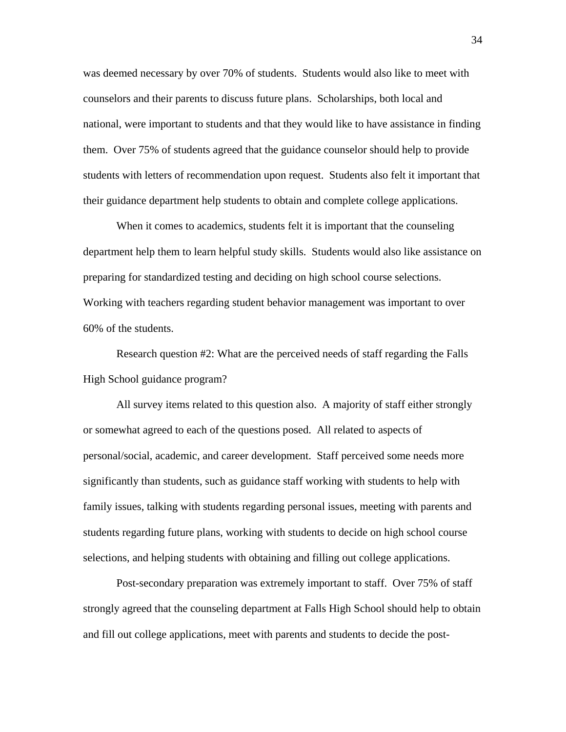was deemed necessary by over 70% of students. Students would also like to meet with counselors and their parents to discuss future plans. Scholarships, both local and national, were important to students and that they would like to have assistance in finding them. Over 75% of students agreed that the guidance counselor should help to provide students with letters of recommendation upon request. Students also felt it important that their guidance department help students to obtain and complete college applications.

 When it comes to academics, students felt it is important that the counseling department help them to learn helpful study skills. Students would also like assistance on preparing for standardized testing and deciding on high school course selections. Working with teachers regarding student behavior management was important to over 60% of the students.

 Research question #2: What are the perceived needs of staff regarding the Falls High School guidance program?

All survey items related to this question also. A majority of staff either strongly or somewhat agreed to each of the questions posed. All related to aspects of personal/social, academic, and career development. Staff perceived some needs more significantly than students, such as guidance staff working with students to help with family issues, talking with students regarding personal issues, meeting with parents and students regarding future plans, working with students to decide on high school course selections, and helping students with obtaining and filling out college applications.

Post-secondary preparation was extremely important to staff. Over 75% of staff strongly agreed that the counseling department at Falls High School should help to obtain and fill out college applications, meet with parents and students to decide the post-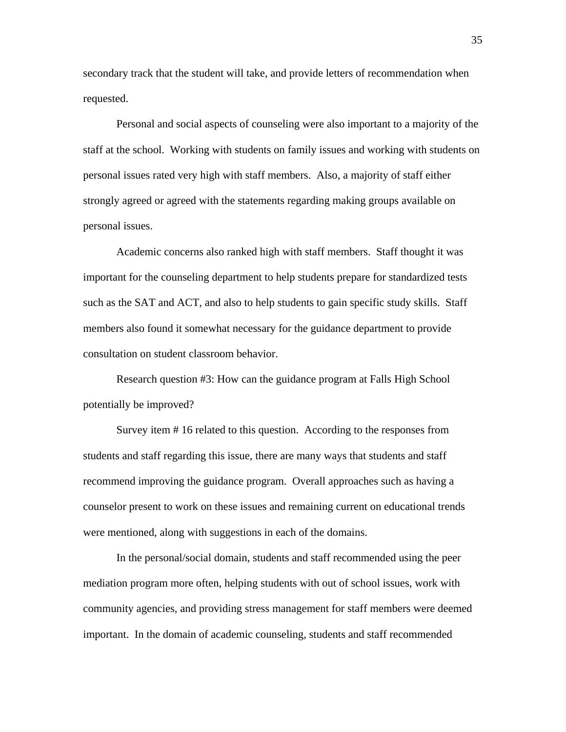secondary track that the student will take, and provide letters of recommendation when requested.

Personal and social aspects of counseling were also important to a majority of the staff at the school. Working with students on family issues and working with students on personal issues rated very high with staff members. Also, a majority of staff either strongly agreed or agreed with the statements regarding making groups available on personal issues.

Academic concerns also ranked high with staff members. Staff thought it was important for the counseling department to help students prepare for standardized tests such as the SAT and ACT, and also to help students to gain specific study skills. Staff members also found it somewhat necessary for the guidance department to provide consultation on student classroom behavior.

Research question #3: How can the guidance program at Falls High School potentially be improved?

 Survey item # 16 related to this question. According to the responses from students and staff regarding this issue, there are many ways that students and staff recommend improving the guidance program. Overall approaches such as having a counselor present to work on these issues and remaining current on educational trends were mentioned, along with suggestions in each of the domains.

 In the personal/social domain, students and staff recommended using the peer mediation program more often, helping students with out of school issues, work with community agencies, and providing stress management for staff members were deemed important. In the domain of academic counseling, students and staff recommended

35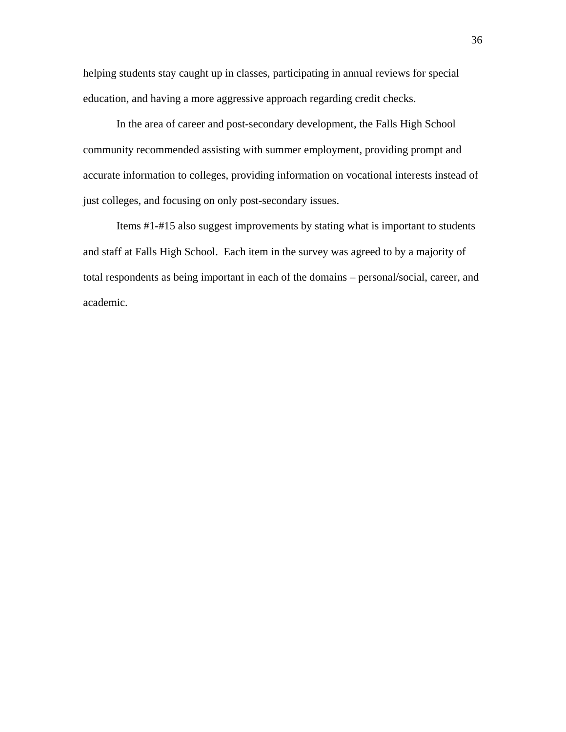helping students stay caught up in classes, participating in annual reviews for special education, and having a more aggressive approach regarding credit checks.

 In the area of career and post-secondary development, the Falls High School community recommended assisting with summer employment, providing prompt and accurate information to colleges, providing information on vocational interests instead of just colleges, and focusing on only post-secondary issues.

 Items #1-#15 also suggest improvements by stating what is important to students and staff at Falls High School. Each item in the survey was agreed to by a majority of total respondents as being important in each of the domains – personal/social, career, and academic.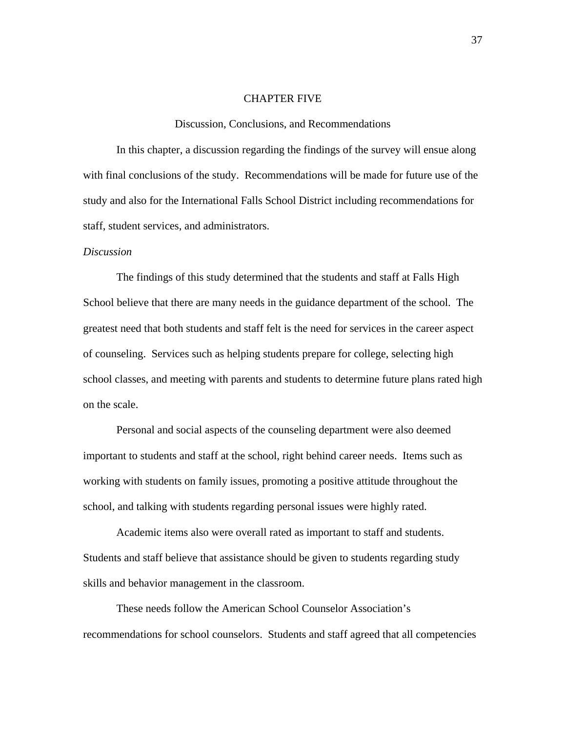### CHAPTER FIVE

### Discussion, Conclusions, and Recommendations

In this chapter, a discussion regarding the findings of the survey will ensue along with final conclusions of the study. Recommendations will be made for future use of the study and also for the International Falls School District including recommendations for staff, student services, and administrators.

#### *Discussion*

The findings of this study determined that the students and staff at Falls High School believe that there are many needs in the guidance department of the school. The greatest need that both students and staff felt is the need for services in the career aspect of counseling. Services such as helping students prepare for college, selecting high school classes, and meeting with parents and students to determine future plans rated high on the scale.

 Personal and social aspects of the counseling department were also deemed important to students and staff at the school, right behind career needs. Items such as working with students on family issues, promoting a positive attitude throughout the school, and talking with students regarding personal issues were highly rated.

 Academic items also were overall rated as important to staff and students. Students and staff believe that assistance should be given to students regarding study skills and behavior management in the classroom.

 These needs follow the American School Counselor Association's recommendations for school counselors. Students and staff agreed that all competencies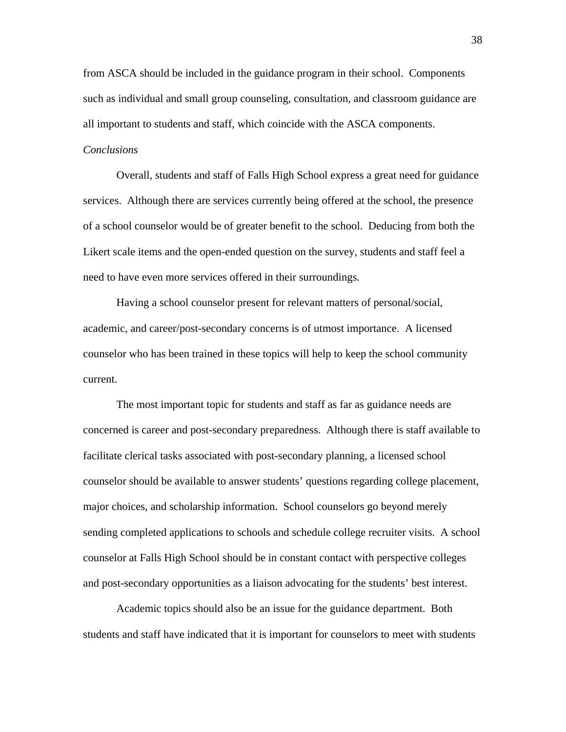from ASCA should be included in the guidance program in their school. Components such as individual and small group counseling, consultation, and classroom guidance are all important to students and staff, which coincide with the ASCA components.

### *Conclusions*

Overall, students and staff of Falls High School express a great need for guidance services. Although there are services currently being offered at the school, the presence of a school counselor would be of greater benefit to the school. Deducing from both the Likert scale items and the open-ended question on the survey, students and staff feel a need to have even more services offered in their surroundings.

 Having a school counselor present for relevant matters of personal/social, academic, and career/post-secondary concerns is of utmost importance. A licensed counselor who has been trained in these topics will help to keep the school community current.

 The most important topic for students and staff as far as guidance needs are concerned is career and post-secondary preparedness. Although there is staff available to facilitate clerical tasks associated with post-secondary planning, a licensed school counselor should be available to answer students' questions regarding college placement, major choices, and scholarship information. School counselors go beyond merely sending completed applications to schools and schedule college recruiter visits. A school counselor at Falls High School should be in constant contact with perspective colleges and post-secondary opportunities as a liaison advocating for the students' best interest.

 Academic topics should also be an issue for the guidance department. Both students and staff have indicated that it is important for counselors to meet with students

38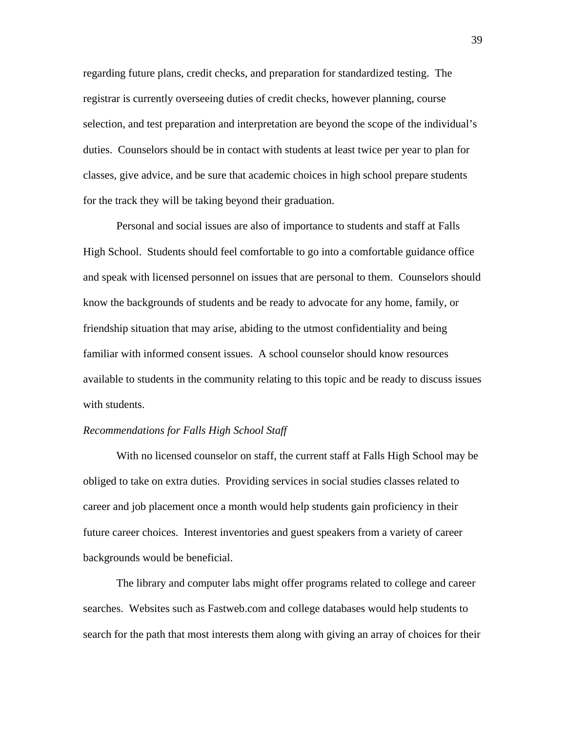regarding future plans, credit checks, and preparation for standardized testing. The registrar is currently overseeing duties of credit checks, however planning, course selection, and test preparation and interpretation are beyond the scope of the individual's duties. Counselors should be in contact with students at least twice per year to plan for classes, give advice, and be sure that academic choices in high school prepare students for the track they will be taking beyond their graduation.

 Personal and social issues are also of importance to students and staff at Falls High School. Students should feel comfortable to go into a comfortable guidance office and speak with licensed personnel on issues that are personal to them. Counselors should know the backgrounds of students and be ready to advocate for any home, family, or friendship situation that may arise, abiding to the utmost confidentiality and being familiar with informed consent issues. A school counselor should know resources available to students in the community relating to this topic and be ready to discuss issues with students.

### *Recommendations for Falls High School Staff*

 With no licensed counselor on staff, the current staff at Falls High School may be obliged to take on extra duties. Providing services in social studies classes related to career and job placement once a month would help students gain proficiency in their future career choices. Interest inventories and guest speakers from a variety of career backgrounds would be beneficial.

 The library and computer labs might offer programs related to college and career searches. Websites such as Fastweb.com and college databases would help students to search for the path that most interests them along with giving an array of choices for their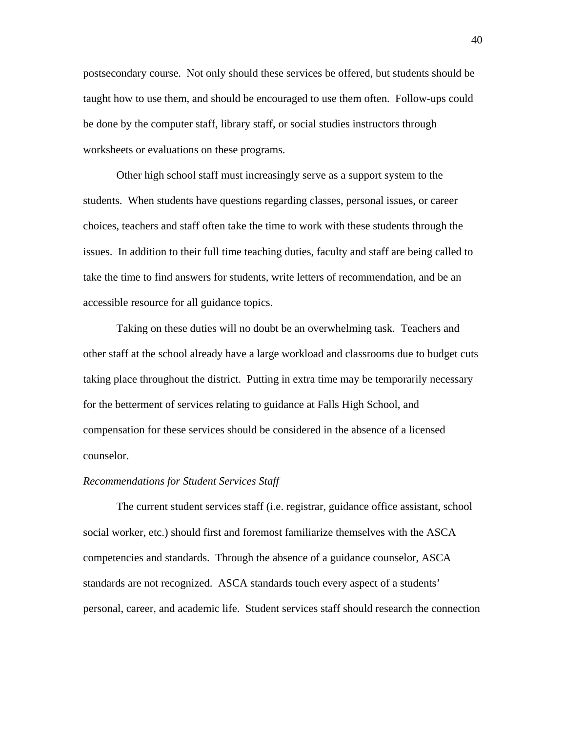postsecondary course. Not only should these services be offered, but students should be taught how to use them, and should be encouraged to use them often. Follow-ups could be done by the computer staff, library staff, or social studies instructors through worksheets or evaluations on these programs.

 Other high school staff must increasingly serve as a support system to the students. When students have questions regarding classes, personal issues, or career choices, teachers and staff often take the time to work with these students through the issues. In addition to their full time teaching duties, faculty and staff are being called to take the time to find answers for students, write letters of recommendation, and be an accessible resource for all guidance topics.

 Taking on these duties will no doubt be an overwhelming task. Teachers and other staff at the school already have a large workload and classrooms due to budget cuts taking place throughout the district. Putting in extra time may be temporarily necessary for the betterment of services relating to guidance at Falls High School, and compensation for these services should be considered in the absence of a licensed counselor.

### *Recommendations for Student Services Staff*

 The current student services staff (i.e. registrar, guidance office assistant, school social worker, etc.) should first and foremost familiarize themselves with the ASCA competencies and standards. Through the absence of a guidance counselor, ASCA standards are not recognized. ASCA standards touch every aspect of a students' personal, career, and academic life. Student services staff should research the connection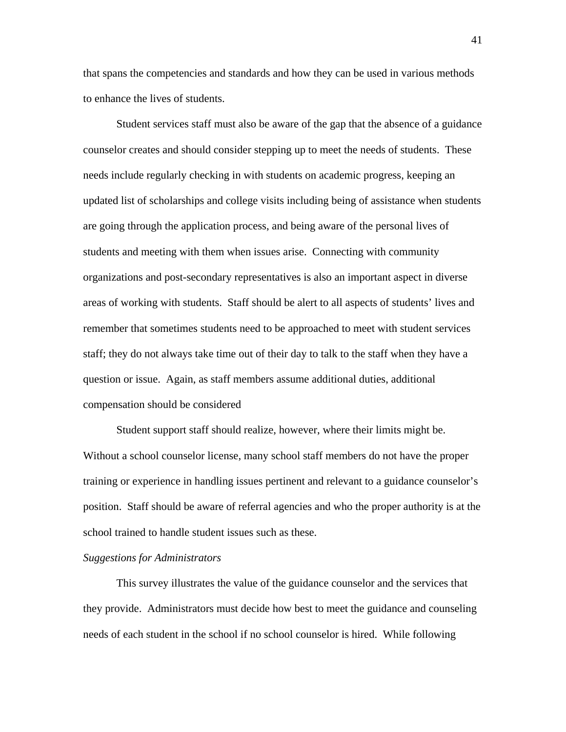that spans the competencies and standards and how they can be used in various methods to enhance the lives of students.

 Student services staff must also be aware of the gap that the absence of a guidance counselor creates and should consider stepping up to meet the needs of students. These needs include regularly checking in with students on academic progress, keeping an updated list of scholarships and college visits including being of assistance when students are going through the application process, and being aware of the personal lives of students and meeting with them when issues arise. Connecting with community organizations and post-secondary representatives is also an important aspect in diverse areas of working with students. Staff should be alert to all aspects of students' lives and remember that sometimes students need to be approached to meet with student services staff; they do not always take time out of their day to talk to the staff when they have a question or issue. Again, as staff members assume additional duties, additional compensation should be considered

 Student support staff should realize, however, where their limits might be. Without a school counselor license, many school staff members do not have the proper training or experience in handling issues pertinent and relevant to a guidance counselor's position. Staff should be aware of referral agencies and who the proper authority is at the school trained to handle student issues such as these.

### *Suggestions for Administrators*

 This survey illustrates the value of the guidance counselor and the services that they provide. Administrators must decide how best to meet the guidance and counseling needs of each student in the school if no school counselor is hired. While following

41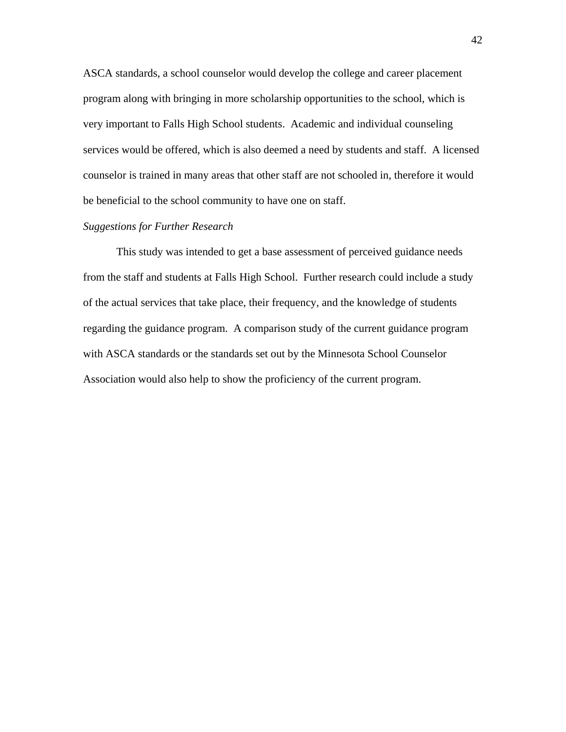ASCA standards, a school counselor would develop the college and career placement program along with bringing in more scholarship opportunities to the school, which is very important to Falls High School students. Academic and individual counseling services would be offered, which is also deemed a need by students and staff. A licensed counselor is trained in many areas that other staff are not schooled in, therefore it would be beneficial to the school community to have one on staff.

### *Suggestions for Further Research*

This study was intended to get a base assessment of perceived guidance needs from the staff and students at Falls High School. Further research could include a study of the actual services that take place, their frequency, and the knowledge of students regarding the guidance program. A comparison study of the current guidance program with ASCA standards or the standards set out by the Minnesota School Counselor Association would also help to show the proficiency of the current program.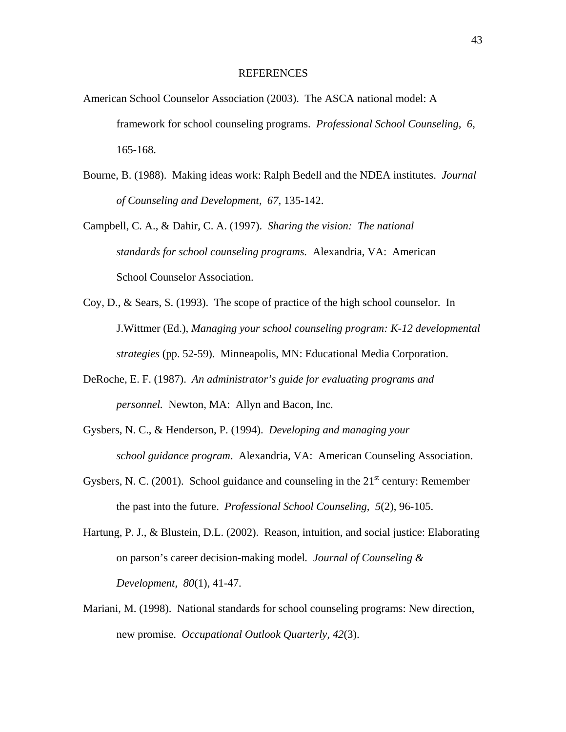### REFERENCES

- American School Counselor Association (2003). The ASCA national model: A framework for school counseling programs. *Professional School Counseling, 6,* 165-168.
- Bourne, B. (1988). Making ideas work: Ralph Bedell and the NDEA institutes. *Journal of Counseling and Development, 67,* 135-142.
- Campbell, C. A., & Dahir, C. A. (1997). *Sharing the vision: The national standards for school counseling programs.* Alexandria, VA: American School Counselor Association.
- Coy, D., & Sears, S. (1993). The scope of practice of the high school counselor. In J.Wittmer (Ed.), *Managing your school counseling program: K-12 developmental strategies* (pp. 52-59). Minneapolis, MN: Educational Media Corporation.
- DeRoche, E. F. (1987). *An administrator's guide for evaluating programs and personnel.* Newton, MA: Allyn and Bacon, Inc.
- Gysbers, N. C., & Henderson, P. (1994). *Developing and managing your school guidance program*. Alexandria, VA: American Counseling Association.
- Gysbers, N. C. (2001). School guidance and counseling in the  $21<sup>st</sup>$  century: Remember the past into the future. *Professional School Counseling, 5*(2), 96-105.
- Hartung, P. J., & Blustein, D.L. (2002). Reason, intuition, and social justice: Elaborating on parson's career decision-making model*. Journal of Counseling & Development, 80*(1), 41-47.
- Mariani, M. (1998). National standards for school counseling programs: New direction, new promise. *Occupational Outlook Quarterly, 42*(3).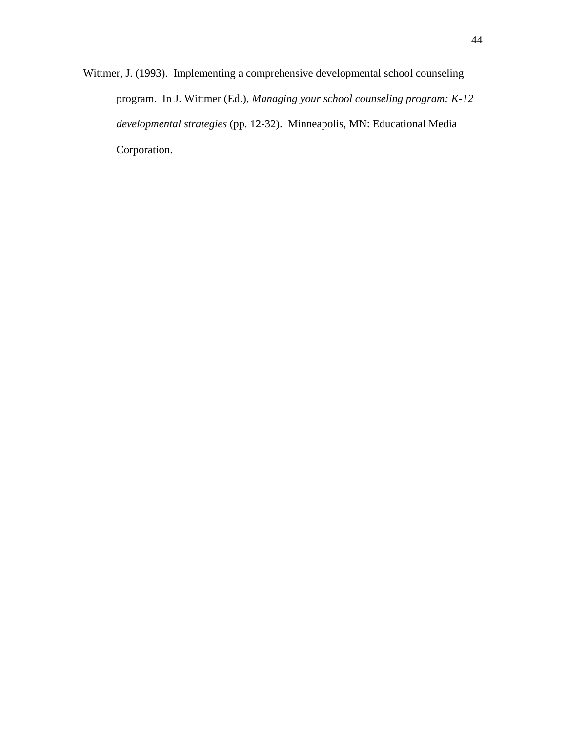Wittmer, J. (1993). Implementing a comprehensive developmental school counseling program. In J. Wittmer (Ed.), *Managing your school counseling program: K-12 developmental strategies* (pp. 12-32). Minneapolis, MN: Educational Media Corporation.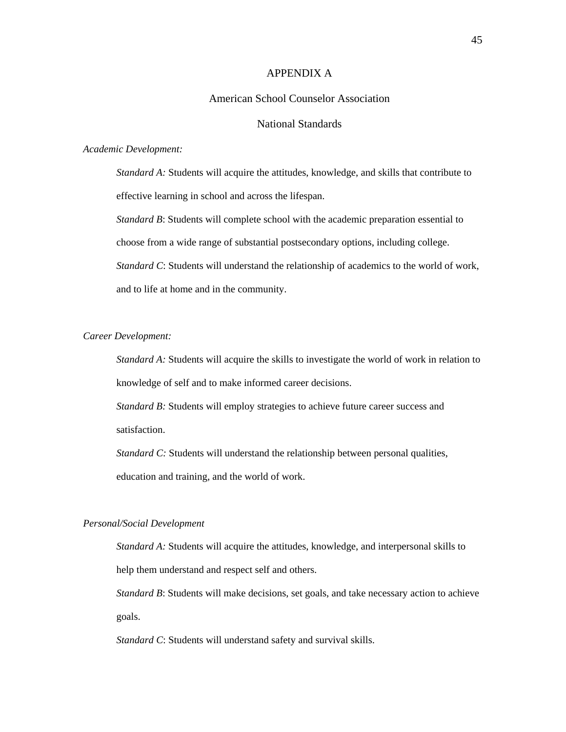### APPENDIX A

### American School Counselor Association

### National Standards

#### *Academic Development:*

*Standard A:* Students will acquire the attitudes, knowledge, and skills that contribute to effective learning in school and across the lifespan.

*Standard B*: Students will complete school with the academic preparation essential to choose from a wide range of substantial postsecondary options, including college. *Standard C*: Students will understand the relationship of academics to the world of work, and to life at home and in the community.

### *Career Development:*

*Standard A:* Students will acquire the skills to investigate the world of work in relation to knowledge of self and to make informed career decisions.

*Standard B:* Students will employ strategies to achieve future career success and satisfaction.

*Standard C:* Students will understand the relationship between personal qualities, education and training, and the world of work.

### *Personal/Social Development*

*Standard A:* Students will acquire the attitudes, knowledge, and interpersonal skills to help them understand and respect self and others.

*Standard B*: Students will make decisions, set goals, and take necessary action to achieve goals.

*Standard C*: Students will understand safety and survival skills.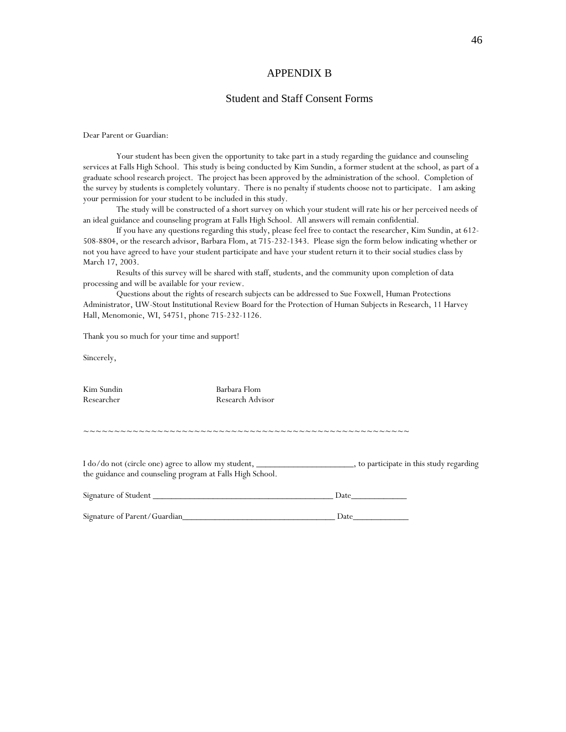### APPENDIX B

### Student and Staff Consent Forms

Dear Parent or Guardian:

Your student has been given the opportunity to take part in a study regarding the guidance and counseling services at Falls High School. This study is being conducted by Kim Sundin, a former student at the school, as part of a graduate school research project. The project has been approved by the administration of the school. Completion of the survey by students is completely voluntary. There is no penalty if students choose not to participate. I am asking your permission for your student to be included in this study.

The study will be constructed of a short survey on which your student will rate his or her perceived needs of an ideal guidance and counseling program at Falls High School. All answers will remain confidential.

If you have any questions regarding this study, please feel free to contact the researcher, Kim Sundin, at 612- 508-8804, or the research advisor, Barbara Flom, at 715-232-1343. Please sign the form below indicating whether or not you have agreed to have your student participate and have your student return it to their social studies class by March 17, 2003.

Results of this survey will be shared with staff, students, and the community upon completion of data processing and will be available for your review.

Questions about the rights of research subjects can be addressed to Sue Foxwell, Human Protections Administrator, UW-Stout Institutional Review Board for the Protection of Human Subjects in Research, 11 Harvey Hall, Menomonie, WI, 54751, phone 715-232-1126.

Thank you so much for your time and support!

Sincerely,

Kim Sundin Barbara Flom

Researcher Research Advisor

~~~~~~~~~~~~~~~~~~~~~~~~~~~~~~~~~~~~~~~~~~~~~~~~~~~~~

I do/do not (circle one) agree to allow my student, \_\_\_\_\_\_\_\_\_\_\_\_\_\_\_\_\_\_\_\_\_, to participate in this study regarding the guidance and counseling program at Falls High School.

| Signature of Student |  |  |
|----------------------|--|--|
|                      |  |  |

Signature of Parent/Guardian\_\_\_\_\_\_\_\_\_\_\_\_\_\_\_\_\_\_\_\_\_\_\_\_\_\_\_\_\_\_\_\_\_ Date\_\_\_\_\_\_\_\_\_\_\_\_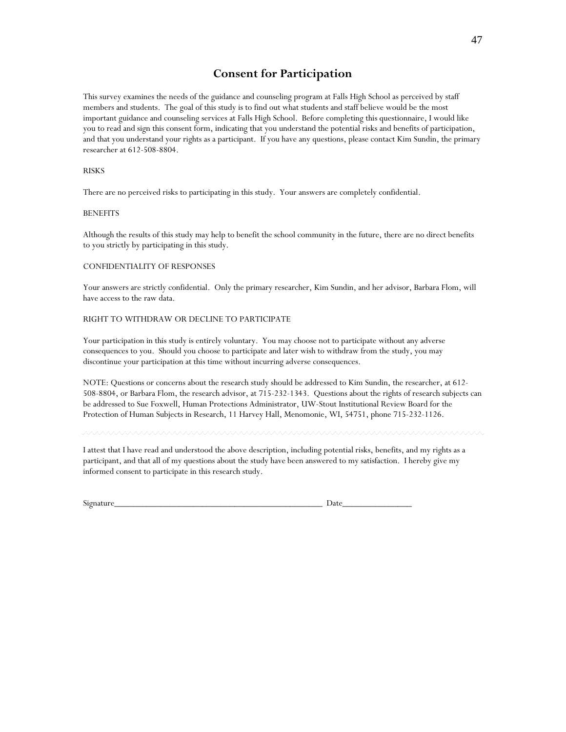### **Consent for Participation**

This survey examines the needs of the guidance and counseling program at Falls High School as perceived by staff members and students. The goal of this study is to find out what students and staff believe would be the most important guidance and counseling services at Falls High School. Before completing this questionnaire, I would like you to read and sign this consent form, indicating that you understand the potential risks and benefits of participation, and that you understand your rights as a participant. If you have any questions, please contact Kim Sundin, the primary researcher at 612-508-8804.

#### RISKS

There are no perceived risks to participating in this study. Your answers are completely confidential.

#### BENEFITS

Although the results of this study may help to benefit the school community in the future, there are no direct benefits to you strictly by participating in this study.

#### CONFIDENTIALITY OF RESPONSES

Your answers are strictly confidential. Only the primary researcher, Kim Sundin, and her advisor, Barbara Flom, will have access to the raw data.

#### RIGHT TO WITHDRAW OR DECLINE TO PARTICIPATE

Your participation in this study is entirely voluntary. You may choose not to participate without any adverse consequences to you. Should you choose to participate and later wish to withdraw from the study, you may discontinue your participation at this time without incurring adverse consequences.

NOTE: Questions or concerns about the research study should be addressed to Kim Sundin, the researcher, at 612- 508-8804, or Barbara Flom, the research advisor, at 715-232-1343. Questions about the rights of research subjects can be addressed to Sue Foxwell, Human Protections Administrator, UW-Stout Institutional Review Board for the Protection of Human Subjects in Research, 11 Harvey Hall, Menomonie, WI, 54751, phone 715-232-1126.

I attest that I have read and understood the above description, including potential risks, benefits, and my rights as a participant, and that all of my questions about the study have been answered to my satisfaction. I hereby give my informed consent to participate in this research study.

| Signature | $\ddotsc$<br>- |
|-----------|----------------|
|           |                |